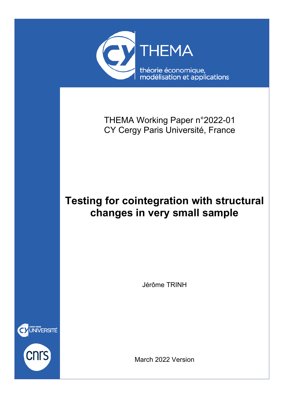

THEMA Working Paper n°2022-01 CY Cergy Paris Université, France

# **Testing for cointegration with structural changes in very small sample**

Jérôme TRINH





March 2022 Version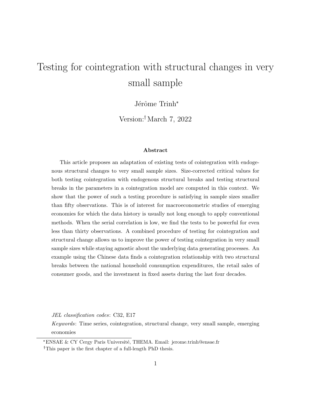# Testing for cointegration with structural changes in very small sample

Jérôme Trinh\*

Version:<sup>†</sup>March 7, 2022

#### Abstract

This article proposes an adaptation of existing tests of cointegration with endogenous structural changes to very small sample sizes. Size-corrected critical values for both testing cointegration with endogenous structural breaks and testing structural breaks in the parameters in a cointegration model are computed in this context. We show that the power of such a testing procedure is satisfying in sample sizes smaller than fifty observations. This is of interest for macroeconometric studies of emerging economies for which the data history is usually not long enough to apply conventional methods. When the serial correlation is low, we find the tests to be powerful for even less than thirty observations. A combined procedure of testing for cointegration and structural change allows us to improve the power of testing cointegration in very small sample sizes while staying agnostic about the underlying data generating processes. An example using the Chinese data finds a cointegration relationship with two structural breaks between the national household consumption expenditures, the retail sales of consumer goods, and the investment in fixed assets during the last four decades.

JEL classification codes: C32, E17

Keywords: Time series, cointegration, structural change, very small sample, emerging economies

<sup>\*</sup>ENSAE & CY Cergy Paris Université, THEMA. Email: jerome.trinh@ensae.fr This paper is the first chapter of a full-length PhD thesis.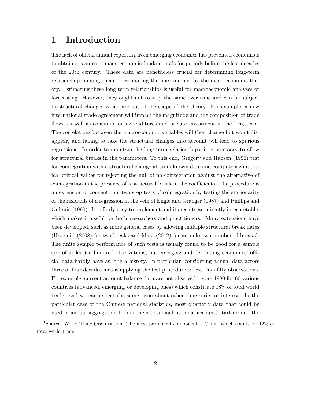### 1 Introduction

The lack of official annual reporting from emerging economies has prevented economists to obtain measures of macroeconomic fundamentals for periods before the last decades of the 20th century. These data are nonetheless crucial for determining long-term relationships among them or estimating the ones implied by the macroeconomic theory. Estimating these long-term relationships is useful for macroeconomic analyses or forecasting. However, they ought not to stay the same over time and can be subject to structural changes which are out of the scope of the theory. For example, a new international trade agreement will impact the magnitude and the composition of trade flows, as well as consumption expenditures and private investment in the long term. The correlations between the macroeconomic variables will then change but won't disappear, and failing to take the structural changes into account will lead to spurious regressions. In order to maintain the long-term relationships, it is necessary to allow for structural breaks in the parameters. To this end, Gregory and Hansen (1996) test for cointegration with a structural change at an unknown date and compute asymptotical critical values for rejecting the null of no cointegration against the alternative of cointegration in the presence of a structural break in the coefficients. The procedure is an extension of conventional two-step tests of cointegration by testing the stationarity of the residuals of a regression in the vein of Engle and Granger (1987) and Phillips and Ouliaris (1990). It is fairly easy to implement and its results are directly interpretable, which makes it useful for both researchers and practitioners. Many extensions have been developed, such as more general cases by allowing multiple structural break dates (Hatemi-j (2008) for two breaks and Maki (2012) for an unknown number of breaks). The finite sample performance of such tests is usually found to be good for a sample size of at least a hundred observations, but emerging and developing economies' official data hardly have as long a history. In particular, considering annual data across three or four decades means applying the test procedure to less than fifty observations. For example, current account balance data are not observed before 1980 for 60 various countries (advanced, emerging, or developing ones) which constitute 18% of total world  $trade<sup>1</sup>$  and we can expect the same issue about other time series of interest. In the particular case of the Chinese national statistics, most quarterly data that could be used in annual aggregation to link them to annual national accounts start around the

<sup>1</sup>Source: World Trade Organisation. The most prominent component is China, which counts for 12% of total world trade.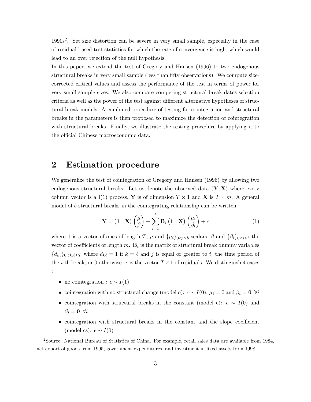1990s<sup>2</sup>. Yet size distortion can be severe in very small sample, especially in the case of residual-based test statistics for which the rate of convergence is high, which would lead to an over rejection of the null hypothesis.

In this paper, we extend the test of Gregory and Hansen (1996) to two endogenous structural breaks in very small sample (less than fifty observations). We compute sizecorrected critical values and assess the performance of the test in terms of power for very small sample sizes. We also compare competing structural break dates selection criteria as well as the power of the test against different alternative hypotheses of structural break models. A combined procedure of testing for cointegration and structural breaks in the parameters is then proposed to maximize the detection of cointegration with structural breaks. Finally, we illustrate the testing procedure by applying it to the official Chinese macroeconomic data.

### 2 Estimation procedure

We generalize the test of cointegration of Gregory and Hansen (1996) by allowing two endogenous structural breaks. Let us denote the observed data  $(Y, X)$  where every column vector is a I(1) process, Y is of dimension  $T \times 1$  and X is  $T \times m$ . A general model of b structural breaks in the cointegrating relationship can be written :

$$
\mathbf{Y} = \begin{pmatrix} \mathbf{1} & \mathbf{X} \end{pmatrix} \begin{pmatrix} \mu \\ \beta \end{pmatrix} + \sum_{i=1}^{b} \mathbf{B}_{i} \begin{pmatrix} \mathbf{1} & \mathbf{X} \end{pmatrix} \begin{pmatrix} \mu_{i} \\ \beta_{i} \end{pmatrix} + \epsilon
$$
 (1)

where 1 is a vector of ones of length T,  $\mu$  and  $\{\mu_i\}_{0 \leq i \leq b}$  scalars,  $\beta$  and  $\{\beta_i\}_{0 \leq i \leq b}$  the vector of coefficients of length m.  $B_i$  is the matrix of structural break dummy variables  ${d_{k\ell}}_{0\leq k,\ell\leq T}$  where  $d_{k\ell} = 1$  if  $k = \ell$  and j is equal or greater to  $t_i$  the time period of the *i*-th break, or 0 otherwise.  $\epsilon$  is the vector  $T \times 1$  of residuals. We distinguish 4 cases

• no cointegration :  $\epsilon \sim I(1)$ 

:

- cointegration with no structural change (model o):  $\epsilon \sim I(0)$ ,  $\mu_i = 0$  and  $\beta_i = \mathbf{0}$   $\forall i$
- cointegration with structural breaks in the constant (model c):  $\epsilon \sim I(0)$  and  $\beta_i = \mathbf{0}$   $\forall i$
- cointegration with structural breaks in the constant and the slope coefficient (model cs):  $\epsilon \sim I(0)$

<sup>2</sup>Source: National Bureau of Statistics of China. For example, retail sales data are available from 1984, net export of goods from 1995, government expenditures, and investment in fixed assets from 1998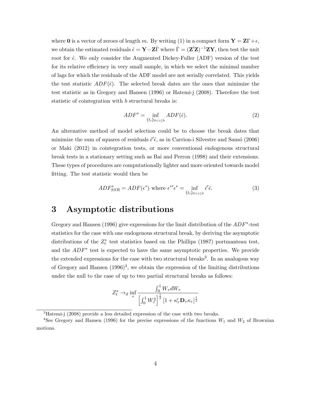where 0 is a vector of zeroes of length m. By writing (1) in a compact form  $\mathbf{Y} = \mathbf{Z}\Gamma + \epsilon$ , we obtain the estimated residuals  $\hat{\epsilon} = \mathbf{Y} - \mathbf{Z}\hat{\Gamma}$  where  $\hat{\Gamma} = (\mathbf{Z}'\mathbf{Z})^{-1}\mathbf{Z}\mathbf{Y}$ , then test the unit root for  $\hat{\epsilon}$ . We only consider the Augmented Dickey-Fuller (ADF) version of the test for its relative efficiency in very small sample, in which we select the minimal number of lags for which the residuals of the ADF model are not serially correlated. This yields the test statistic  $ADF(\hat{\epsilon})$ . The selected break dates are the ones that minimize the test statistic as in Gregory and Hansen (1996) or Hatemi-j (2008). Therefore the test statistic of cointegration with b structural breaks is:

$$
ADF^* = \inf_{\{t_i\}_{0 < i \le b}} ADF(\hat{\epsilon}).\tag{2}
$$

An alternative method of model selection could be to choose the break dates that minimize the sum of squares of residuals  $\hat{\epsilon}'\hat{\epsilon}$ , as in Carrion-i Silvestre and Sansó (2006) or Maki (2012) in cointegration tests, or more conventional endogenous structural break tests in a stationary setting such as Bai and Perron (1998) and their extensions. These types of procedures are computationally lighter and more oriented towards model fitting. The test statistic would then be

$$
ADF_{SSR}^* = ADF(\epsilon^*) \text{ where } \epsilon^{*\prime}\epsilon^* = \inf_{\{t_i\}_{0 < i \le b}} \hat{\epsilon}'\hat{\epsilon}. \tag{3}
$$

#### 3 Asymptotic distributions

Gregory and Hansen (1996) give expressions for the limit distribution of the  $ADF^*$ -test statistics for the case with one endogenous structural break, by deriving the asymptotic distributions of the  $Z_t^*$  test statistics based on the Phillips (1987) portmanteau test, and the  $ADF^*$  test is expected to have the same asymptotic properties. We provide the extended expressions for the case with two structural breaks<sup>3</sup>. In an analogous way of Gregory and Hansen  $(1996)^4$ , we obtain the expression of the limiting distributions under the null to the case of up to two partial structural breaks as follows:

$$
Z_t^* \to_d \inf_{\tau} \frac{\int_0^1 W_{\tau} dW_{\tau}}{\left[\int_0^1 W_{\tau}^2\right]^{\frac{1}{2}} \left[1 + \kappa_{\tau}' \mathbf{D}_{\tau} \kappa_{\tau}\right]^{\frac{1}{2}}}
$$

<sup>&</sup>lt;sup>3</sup>Hatemi-j (2008) provide a less detailed expression of the case with two breaks.

<sup>&</sup>lt;sup>4</sup>See Gregory and Hansen (1996) for the precise expressions of the functions  $W_1$  and  $W_2$  of Brownian motions.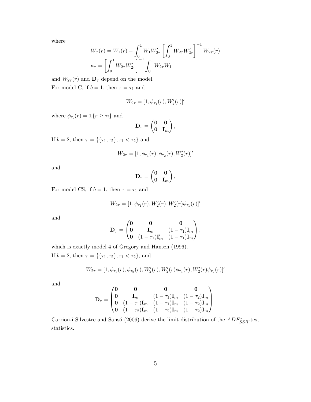where

$$
W_{\tau}(r) = W_1(r) - \int_0^1 W_1 W'_{2\tau} \left[ \int_0^1 W_{2\tau} W'_{2\tau} \right]^{-1} W_{2\tau}(r)
$$
  

$$
\kappa_{\tau} = \left[ \int_0^1 W_{2\tau} W'_{2\tau} \right]^{-1} \int_0^1 W_{2\tau} W_1
$$

and  $W_{2\tau}(r)$  and  $\mathbf{D}_{\tau}$  depend on the model. For model C, if  $b=1,$  then  $\tau=\tau_1$  and

$$
W_{2\tau} = [1, \phi_{\tau_1}(r), W'_2(r)]'
$$

where  $\phi_{\tau_i}(r) = \mathbb{1}\{r \geq \tau_i\}$  and

$$
\mathbf{D}_{\tau} = \begin{pmatrix} \mathbf{0} & \mathbf{0} \\ \mathbf{0} & \mathbf{I}_{m} \end{pmatrix},
$$

If  $b = 2$ , then  $\tau = {\{\{\tau_1, \tau_2\}, \tau_1 < \tau_2\}}$  and

$$
W_{2\tau} = [1, \phi_{\tau_1}(r), \phi_{\tau_2}(r), W'_2(r)]'
$$

and

$$
\mathbf{D}_{\tau} = \begin{pmatrix} \mathbf{0} & \mathbf{0} \\ \mathbf{0} & \mathbf{I}_{m} \end{pmatrix},
$$

For model CS, if  $b=1,$  then  $\tau=\tau_1$  and

$$
W_{2\tau} = [1, \phi_{\tau_1}(r), W'_2(r), W'_2(r)\phi_{\tau_1}(r)]'
$$

and

$$
\mathbf{D}_{\tau} = \begin{pmatrix} \mathbf{0} & \mathbf{0} & \mathbf{0} \\ \mathbf{0} & \mathbf{I}_{m} & (1-\tau_1)\mathbf{I}_{m} \\ \mathbf{0} & (1-\tau_1)\mathbf{I}_{m}' & (1-\tau_1)\mathbf{I}_{m} \end{pmatrix},
$$

which is exactly model 4 of Gregory and Hansen (1996). If  $b = 2$ , then  $\tau = \{\{\tau_1, \tau_2\}, \tau_1 < \tau_2\}$ , and

$$
W_{2\tau} = [1, \phi_{\tau_1}(r), \phi_{\tau_2}(r), W'_2(r), W'_2(r)\phi_{\tau_1}(r), W'_2(r)\phi_{\tau_2}(r)]'
$$

and

$$
\mathbf{D}_{\tau} = \begin{pmatrix} \mathbf{0} & \mathbf{0} & \mathbf{0} & \mathbf{0} \\ \mathbf{0} & \mathbf{I}_{m} & (1-\tau_{1})\mathbf{I}_{m} & (1-\tau_{2})\mathbf{I}_{m} \\ \mathbf{0} & (1-\tau_{1})\mathbf{I}_{m} & (1-\tau_{1})\mathbf{I}_{m} & (1-\tau_{2})\mathbf{I}_{m} \\ \mathbf{0} & (1-\tau_{2})\mathbf{I}_{m} & (1-\tau_{2})\mathbf{I}_{m} & (1-\tau_{2})\mathbf{I}_{m} \end{pmatrix}.
$$

Carrion-i Silvestre and Sansó (2006) derive the limit distribution of the  $ADF_{SSR}^*$ -test statistics.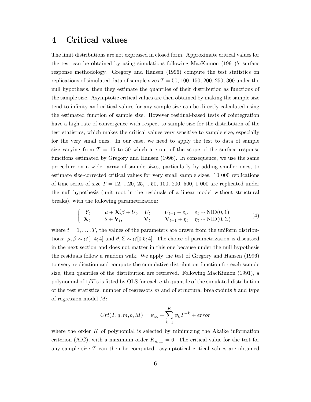### 4 Critical values

The limit distributions are not expressed in closed form. Approximate critical values for the test can be obtained by using simulations following MacKinnon (1991)'s surface response methodology. Gregory and Hansen (1996) compute the test statistics on replications of simulated data of sample sizes  $T = 50, 100, 150, 200, 250, 300$  under the null hypothesis, then they estimate the quantiles of their distribution as functions of the sample size. Asymptotic critical values are then obtained by making the sample size tend to infinity and critical values for any sample size can be directly calculated using the estimated function of sample size. However residual-based tests of cointegration have a high rate of convergence with respect to sample size for the distribution of the test statistics, which makes the critical values very sensitive to sample size, especially for the very small ones. In our case, we need to apply the test to data of sample size varying from  $T = 15$  to 50 which are out of the scope of the surface response functions estimated by Gregory and Hansen (1996). In consequence, we use the same procedure on a wider array of sample sizes, particularly by adding smaller ones, to estimate size-corrected critical values for very small sample sizes. 10 000 replications of time series of size  $T = 12, ...20, 25, ...50, 100, 200, 500, 1000$  are replicated under the null hypothesis (unit root in the residuals of a linear model without structural breaks), with the following parametrization:

$$
\begin{cases}\nY_t = \mu + \mathbf{X}_t' \beta + U_t, & U_t = U_{t-1} + \varepsilon_t, & \varepsilon_t \sim \text{NID}(0, 1) \\
\mathbf{X}_t = \theta + \mathbf{V}_t, & \mathbf{V}_t = \mathbf{V}_{t-1} + \eta_t, & \eta_t \sim \text{NID}(0, \Sigma)\n\end{cases} (4)
$$

where  $t = 1, \ldots, T$ , the values of the parameters are drawn from the uniform distributions:  $\mu, \beta \sim \mathcal{U}[-4, 4]$  and  $\theta, \Sigma \sim \mathcal{U}[0.5, 4]$ . The choice of parametrization is discussed in the next section and does not matter in this one because under the null hypothesis the residuals follow a random walk. We apply the test of Gregory and Hansen (1996) to every replication and compute the cumulative distribution function for each sample size, then quantiles of the distribution are retrieved. Following MacKinnon (1991), a polynomial of  $1/T$ 's is fitted by OLS for each q-th quantile of the simulated distribution of the test statistics, number of regressors  $m$  and of structural breakpoints  $b$  and type of regression model M:

$$
Crt(T, q, m, b, M) = \psi_{\infty} + \sum_{k=1}^{K} \psi_k T^{-k} + error
$$

where the order  $K$  of polynomial is selected by minimizing the Akaike information criterion (AIC), with a maximum order  $K_{max} = 6$ . The critical value for the test for any sample size  $T$  can then be computed: asymptotical critical values are obtained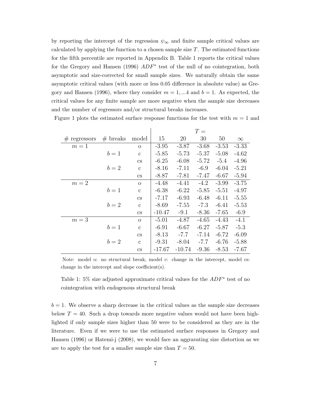by reporting the intercept of the regression  $\psi_{\infty}$  and finite sample critical values are calculated by applying the function to a chosen sample size  $T$ . The estimated functions for the fifth percentile are reported in Appendix B. Table 1 reports the critical values for the Gregory and Hansen (1996)  $ADF^*$  test of the null of no cointegration, both asymptotic and size-corrected for small sample sizes. We naturally obtain the same asymptotic critical values (with more or less 0.05 difference in absolute value) as Gregory and Hansen (1996), where they consider  $m = 1, ... 4$  and  $b = 1$ . As expected, the critical values for any finite sample are more negative when the sample size decreases and the number of regressors and/or structural breaks increases.

Figure 1 plots the estimated surface response functions for the test with  $m = 1$  and

|                        |            |                        |          |           | $T =$   |         |          |
|------------------------|------------|------------------------|----------|-----------|---------|---------|----------|
| $# \text{ regressors}$ | $#$ breaks | model                  | 15       | <b>20</b> | 30      | 50      | $\infty$ |
| $m=1$                  |            | $\Omega$               | $-3.95$  | $-3.87$   | $-3.68$ | $-3.53$ | $-3.33$  |
|                        | $b=1$      | $\mathbf{c}$           | $-5.85$  | $-5.73$   | $-5.37$ | $-5.08$ | $-4.62$  |
|                        |            | $\mathbf{c}\mathbf{s}$ | $-6.25$  | $-6.08$   | $-5.72$ | $-5.4$  | $-4.96$  |
|                        | $b=2$      | $\mathbf{c}$           | $-8.16$  | $-7.11$   | $-6.9$  | $-6.04$ | $-5.21$  |
|                        |            | $\mathbf{c}\mathbf{s}$ | $-8.87$  | $-7.81$   | -7.47   | $-6.67$ | $-5.94$  |
| $m=2$                  |            | $\Omega$               | $-4.48$  | $-4.41$   | $-4.2$  | $-3.99$ | $-3.75$  |
|                        | $b=1$      | $\mathbf{c}$           | $-6.38$  | $-6.22$   | $-5.85$ | $-5.51$ | $-4.97$  |
|                        |            | $\mathbf{c}\mathbf{s}$ | $-7.17$  | $-6.93$   | $-6.48$ | $-6.11$ | $-5.55$  |
|                        | $b=2$      | $\mathbf{c}$           | $-8.69$  | $-7.55$   | $-7.3$  | $-6.41$ | $-5.53$  |
|                        |            | $\mathbf{c}\mathbf{s}$ | $-10.47$ | $-9.1$    | $-8.36$ | $-7.65$ | $-6.9$   |
| $m=3$                  |            | $\Omega$               | $-5.01$  | $-4.87$   | $-4.65$ | $-4.43$ | $-4.1$   |
|                        | $b=1$      | $\mathbf{C}$           | $-6.91$  | $-6.67$   | $-6.27$ | $-5.87$ | $-5.3$   |
|                        |            | $\mathbf{c}\mathbf{s}$ | $-8.13$  | $-7.7$    | $-7.14$ | $-6.72$ | $-6.09$  |
|                        | $b=2$      | $\mathbf{c}$           | $-9.31$  | $-8.04$   | $-7.7$  | $-6.76$ | $-5.88$  |
|                        |            | $\mathbf{c}\mathbf{s}$ | -17.67   | $-10.74$  | $-9.36$ | $-8.53$ | -7.67    |

Note: model o: no structural break, model c: change in the intercept, model cs: change in the intercept and slope coefficient(s).

Table 1:  $5\%$  size adjusted approximate critical values for the  $ADF^*$  test of no cointegration with endogenous structural break

 $b = 1$ . We observe a sharp decrease in the critical values as the sample size decreases below  $T = 40$ . Such a drop towards more negative values would not have been highlighted if only sample sizes higher than 50 were to be considered as they are in the literature. Even if we were to use the estimated surface responses in Gregory and Hansen (1996) or Hatemi-j (2008), we would face an aggravating size distortion as we are to apply the test for a smaller sample size than  $T = 50$ .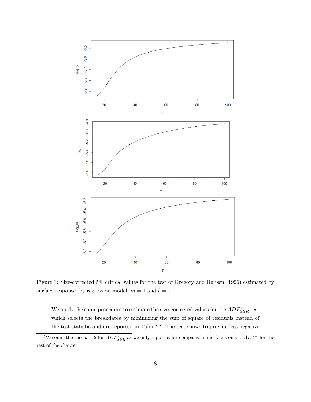

Figure 1: Size-corrected 5% critical values for the test of Gregory and Hansen (1996) estimated by surface response, by regression model,  $m = 1$  and  $b = 1$ 

We apply the same procedure to estimate the size-corrected values for the  $ADF_{SSR}^*$  test which selects the breakdates by minimizing the sum of square of residuals instead of the test statistic and are reported in Table  $2<sup>5</sup>$ . The test shows to provide less negative

<sup>&</sup>lt;sup>5</sup>We omit the case  $b = 2$  for  $ADF_{SSR}^*$  as we only report it for comparison and focus on the  $ADF^*$  for the rest of the chapter.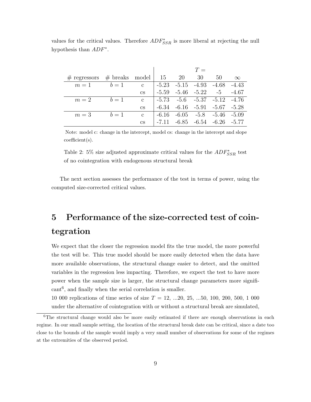|                                           |       |                        |       |                                         | $T =$ |                                 |          |
|-------------------------------------------|-------|------------------------|-------|-----------------------------------------|-------|---------------------------------|----------|
| $\#$ regressors $\#$ breaks model   15 20 |       |                        |       |                                         | - 30  | 50                              | $\infty$ |
| $m=1$                                     | $b=1$ | $\mathcal{C}$          |       | $-5.23$ $-5.15$ $-4.93$ $-4.68$ $-4.43$ |       |                                 |          |
|                                           |       | $_{\rm CS}$            |       | $-5.59$ $-5.46$ $-5.22$ $-5$ $-4.67$    |       |                                 |          |
| $m=2$                                     | $b=1$ | $\mathcal{C}$          |       | $-5.73$ $-5.6$ $-5.37$ $-5.12$ $-4.76$  |       |                                 |          |
|                                           |       | $\mathbf{c}\mathbf{s}$ |       | $-6.34$ $-6.16$ $-5.91$ $-5.67$ $-5.28$ |       |                                 |          |
| $m=3$                                     | $b=1$ | $\mathcal{C}$          | -6.16 |                                         |       | $-6.05$ $-5.8$ $-5.46$ $-5.09$  |          |
|                                           |       | $\mathbf{c}\mathbf{s}$ |       |                                         |       | $-6.85$ $-6.54$ $-6.26$ $-5.77$ |          |

values for the critical values. Therefore  $ADF_{SSR}^*$  is more liberal at rejecting the null hypothesis than  $ADF^*$ .

Note: model c: change in the intercept, model cs: change in the intercept and slope coefficient(s).

Table 2: 5% size adjusted approximate critical values for the  $ADF_{SSR}^*$  test of no cointegration with endogenous structural break

The next section assesses the performance of the test in terms of power, using the computed size-corrected critical values.

## 5 Performance of the size-corrected test of cointegration

We expect that the closer the regression model fits the true model, the more powerful the test will be. This true model should be more easily detected when the data have more available observations, the structural change easier to detect, and the omitted variables in the regression less impacting. Therefore, we expect the test to have more power when the sample size is larger, the structural change parameters more signifi- $\text{cant}^6$ , and finally when the serial correlation is smaller.

10 000 replications of time series of size  $T = 12, ...20, 25, ...50, 100, 200, 500, 1000$ under the alternative of cointegration with or without a structural break are simulated,

<sup>&</sup>lt;sup>6</sup>The structural change would also be more easily estimated if there are enough observations in each regime. In our small sample setting, the location of the structural break date can be critical, since a date too close to the bounds of the sample would imply a very small number of observations for some of the regimes at the extremities of the observed period.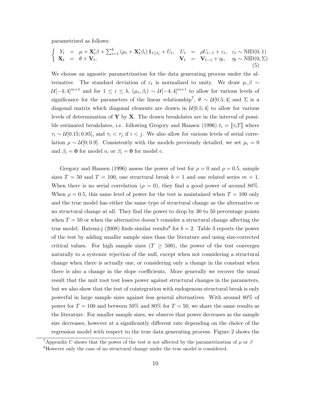parametrized as follows:

$$
\begin{cases}\nY_t = \mu + \mathbf{X}_t' \beta + \sum_{i=1}^b (\mu_i + \mathbf{X}_t' \beta_i) \mathbb{1}_{t \ge t_i} + U_t, & U_t = \rho U_{t-1} + \varepsilon_t, & \varepsilon_t \sim \text{NID}(0, 1) \\
\mathbf{X}_t = \theta + \mathbf{V}_t, & \mathbf{V}_t = \mathbf{V}_{t-1} + \eta_t, & \eta_t \sim \text{NID}(0, \Sigma)\n\end{cases}
$$
\n(5)

We choose an agnostic parametrization for the data generating process under the alternative. The standard deviation of  $\varepsilon_t$  is normalized to unity. We draw  $\mu, \beta \sim$  $\mathcal{U}[-4;4]^{m+1}$  and for  $1 \leq i \leq b$ ,  $(\mu_i, \beta_i) \sim \mathcal{U}[-4;4]^{m+1}$  to allow for various levels of significance for the parameters of the linear relationship<sup>7</sup>,  $\theta \sim \mathcal{U}[0.5; 4]$  and  $\Sigma$  is a diagonal matrix which diagonal elements are drawn in  $\mathcal{U}[0.5; 4]$  to allow for various levels of determination of  $Y$  by  $X$ . The drawn breakdates are in the interval of possible estimated breakdates, i.e. following Gregory and Hansen (1996)  $t_i = \lceil \tau_i T \rceil$  where  $\tau_i \sim \mathcal{U}[0.15; 0.85]$ , and  $\tau_i < \tau_j$  if  $i < j$ . We also allow for various levels of serial correlation  $\rho \sim \mathcal{U}[0;0.9]$ . Consistently with the models previously detailed, we set  $\mu_i = 0$ and  $\beta_i = 0$  for model o, or  $\beta_i = 0$  for model c.

Gregory and Hansen (1996) assess the power of test for  $\rho = 0$  and  $\rho = 0.5$ , sample sizes  $T = 50$  and  $T = 100$ , one structural break  $b = 1$  and one related series  $m = 1$ . When there is no serial correlation ( $\rho = 0$ ), they find a good power of around 80%. When  $\rho = 0.5$ , this same level of power for the test is maintained when  $T = 100$  only and the true model has either the same type of structural change as the alternative or no structural change at all. They find the power to drop by 30 to 50 percentage points when  $T = 50$  or when the alternative doesn't consider a structural change affecting the true model. Hatemi-j (2008) finds similar results<sup>8</sup> for  $b = 2$ . Table 3 reports the power of the test by adding smaller sample sizes than the literature and using size-corrected critical values. For high sample sizes ( $T \geq 500$ ), the power of the test converges naturally to a systemic rejection of the null, except when not considering a structural change when there is actually one, or considering only a change in the constant when there is also a change in the slope coefficients. More generally we recover the usual result that the unit root test loses power against structural changes in the parameters, but we also show that the test of cointegration with endogenous structural break is only powerful in large sample sizes against less general alternatives. With around 80% of power for  $T = 100$  and between 50% and 80% for  $T = 50$ , we share the same results as the literature. For smaller sample sizes, we observe that power decreases as the sample size decreases, however at a significantly different rate depending on the choice of the regression model with respect to the true data generating process. Figure 2 shows the

<sup>&</sup>lt;sup>7</sup>Appendix C shows that the power of the test is not affected by the parametrization of  $\mu$  or  $\beta$ <sup>8</sup>However only the case of no structural change under the true model is considered.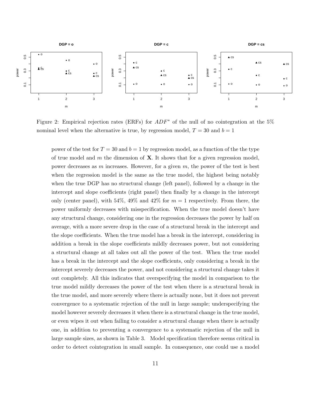

Figure 2: Empirical rejection rates (ERFs) for  $ADF^*$  of the null of no cointegration at the 5% nominal level when the alternative is true, by regression model,  $T = 30$  and  $b = 1$ 

power of the test for  $T = 30$  and  $b = 1$  by regression model, as a function of the the type of true model and  $m$  the dimension of  $X$ . It shows that for a given regression model, power decreases as  $m$  increases. However, for a given  $m$ , the power of the test is best when the regression model is the same as the true model, the highest being notably when the true DGP has no structural change (left panel), followed by a change in the intercept and slope coefficients (right panel) then finally by a change in the intercept only (center panel), with 54%, 49% and 42% for  $m = 1$  respectively. From there, the power uniformly decreases with misspecification. When the true model doesn't have any structural change, considering one in the regression decreases the power by half on average, with a more severe drop in the case of a structural break in the intercept and the slope coefficients. When the true model has a break in the intercept, considering in addition a break in the slope coefficients mildly decreases power, but not considering a structural change at all takes out all the power of the test. When the true model has a break in the intercept and the slope coefficients, only considering a break in the intercept severely decreases the power, and not considering a structural change takes it out completely. All this indicates that overspecifying the model in comparison to the true model mildly decreases the power of the test when there is a structural break in the true model, and more severely where there is actually none, but it does not prevent convergence to a systematic rejection of the null in large sample; underspecifying the model however severely decreases it when there is a structural change in the true model, or even wipes it out when failing to consider a structural change when there is actually one, in addition to preventing a convergence to a systematic rejection of the null in large sample sizes, as shown in Table 3. Model specification therefore seems critical in order to detect cointegration in small sample. In consequence, one could use a model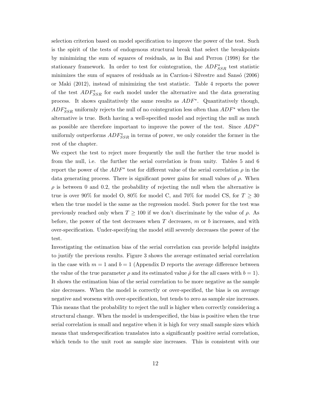selection criterion based on model specification to improve the power of the test. Such is the spirit of the tests of endogenous structural break that select the breakpoints by minimizing the sum of squares of residuals, as in Bai and Perron (1998) for the stationary framework. In order to test for cointegration, the  $ADF_{SSR}^*$  test statistic minimizes the sum of squares of residuals as in Carrion-i Silvestre and Sansó (2006) or Maki (2012), instead of minimizing the test statistic. Table 4 reports the power of the test  $ADF_{SSR}^*$  for each model under the alternative and the data generating process. It shows qualitatively the same results as  $ADF^*$ . Quantitatively though,  $ADF_{SSR}^*$  uniformly rejects the null of no cointegration less often than  $ADF^*$  when the alternative is true. Both having a well-specified model and rejecting the null as much as possible are therefore important to improve the power of the test. Since  $ADF^*$ uniformly outperforms  $ADF_{SSR}^*$  in terms of power, we only consider the former in the rest of the chapter.

We expect the test to reject more frequently the null the further the true model is from the null, i.e. the further the serial correlation is from unity. Tables 5 and 6 report the power of the  $ADF^*$  test for different value of the serial correlation  $\rho$  in the data generating process. There is significant power gains for small values of  $\rho$ . When  $\rho$  is between 0 and 0.2, the probability of rejecting the null when the alternative is true is over 90% for model O, 80% for model C, and 70% for model CS, for  $T \geq 30$ when the true model is the same as the regression model. Such power for the test was previously reached only when  $T \geq 100$  if we don't discriminate by the value of  $\rho$ . As before, the power of the test decreases when  $T$  decreases,  $m$  or  $b$  increases, and with over-specification. Under-specifying the model still severely decreases the power of the test.

Investigating the estimation bias of the serial correlation can provide helpful insights to justify the previous results. Figure 3 shows the average estimated serial correlation in the case with  $m = 1$  and  $b = 1$  (Appendix D reports the average difference between the value of the true parameter  $\rho$  and its estimated value  $\hat{\rho}$  for the all cases with  $b = 1$ ). It shows the estimation bias of the serial correlation to be more negative as the sample size decreases. When the model is correctly or over-specified, the bias is on average negative and worsens with over-specification, but tends to zero as sample size increases. This means that the probability to reject the null is higher when correctly considering a structural change. When the model is underspecified, the bias is positive when the true serial correlation is small and negative when it is high for very small sample sizes which means that underspecification translates into a significantly positive serial correlation, which tends to the unit root as sample size increases. This is consistent with our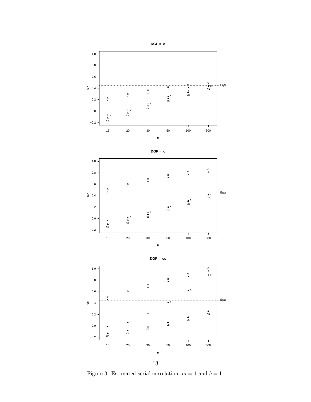

Figure 3: Estimated serial correlation,  $m = 1$  and  $b = 1$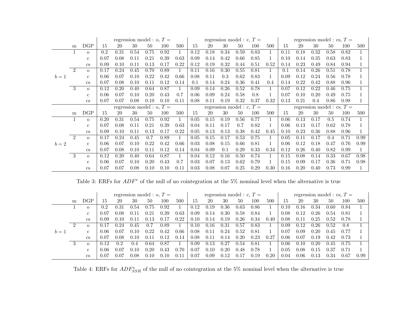|       |                |                        |      |      | regression model : $o, T =$ |                 |      |              |      |      |      | regression model : c, $T =$ |      |              |      |      | regression model : cs, $T =$ |      |      |      |
|-------|----------------|------------------------|------|------|-----------------------------|-----------------|------|--------------|------|------|------|-----------------------------|------|--------------|------|------|------------------------------|------|------|------|
|       | m              | DGP                    | 15   | 20   | 30                          | 50 <sub>2</sub> | 100  | 500          | 15   | 20   | 30   | 50                          | 100  | 500          | 15   | 20   | 30                           | 50   | 100  | 500  |
|       |                | $\mathbf{O}$           | 0.2  | 0.31 | 0.54                        | 0.75            | 0.92 | 1            | 0.12 | 0.18 | 0.34 | 0.59                        | 0.83 | $\mathbf{1}$ | 0.11 | 0.18 | 0.32                         | 0.58 | 0.82 |      |
|       |                | $\mathbf{c}$           | 0.07 | 0.08 | 0.11                        | 0.21            | 0.39 | 0.63         | 0.09 | 0.14 | 0.42 | 0.66                        | 0.85 |              | 0.10 | 0.14 | 0.35                         | 0.63 | 0.83 |      |
|       |                | <b>CS</b>              | 0.09 | 0.10 | 0.11                        | 0.13            | 0.17 | 0.22         | 0.12 | 0.19 | 0.32 | 0.44                        | 0.51 | 0.52         | 0.14 | 0.23 | 0.49                         | 0.84 | 0.94 |      |
|       | $\mathfrak{D}$ | $\mathbf{O}$           | 0.17 | 0.24 | 0.45                        | 0.70            | 0.89 | $\mathbf{1}$ | 0.11 | 0.16 | 0.30 | 0.55                        | 0.81 |              | 0.1  | 0.14 | 0.26                         | 0.51 | 0.78 |      |
| $b=1$ |                | $\mathbf{c}$           | 0.06 | 0.07 | 0.10                        | 0.22            | 0.42 | 0.66         | 0.08 | 0.11 | 0.3  | 0.62                        | 0.83 |              | 0.09 | 0.12 | 0.24                         | 0.56 | 0.78 |      |
|       |                | $\mathbf{c}\mathbf{s}$ | 0.07 | 0.08 | 0.10                        | 0.11            | 0.12 | 0.14         | 0.1  | 0.14 | 0.24 | 0.36                        | 0.41 | 0.4          | 0.14 | 0.22 | 0.42                         | 0.88 | 0.96 |      |
|       | 3              | $\Omega$               | 0.12 | 0.20 | 0.40                        | 0.64            | 0.87 | $\mathbf{1}$ | 0.09 | 0.14 | 0.26 | 0.52                        | 0.78 |              | 0.07 | 0.12 | 0.22                         | 0.46 | 0.75 |      |
|       |                | $\mathbf{c}$           | 0.06 | 0.07 | 0.10                        | 0.20            | 0.43 | 0.7          | 0.06 | 0.09 | 0.24 | 0.58                        | 0.8  |              | 0.07 | 0.10 | 0.20                         | 0.49 | 0.75 |      |
|       |                | $\mathbf{c}\mathbf{s}$ | 0.07 | 0.07 | 0.08                        | 0.10            | 0.10 | 0.11         | 0.08 | 0.11 | 0.19 | 0.32                        | 0.37 | 0.32         | 0.13 | 0.21 | $0.4\,$                      | 0.86 | 0.98 |      |
|       |                |                        |      |      | regression model : o, $T =$ |                 |      |              |      |      |      | regression model : c, $T =$ |      |              |      |      | regression model : cs, $T =$ |      |      |      |
|       | m              | DGP                    | 15   | 20   | 30                          | 50              | 100  | 500          | 15   | 20   | 30   | 50                          | 100  | 500          | 15   | 20   | 30                           | 50   | 100  | 500  |
|       |                | $\Omega$               | 0.20 | 0.31 | 0.54                        | 0.75            | 0.92 | $\mathbf{1}$ | 0.05 | 0.15 | 0.19 | 0.56                        | 0.77 | $\mathbf{1}$ | 0.06 | 0.13 | 0.17                         | 0.5  | 0.74 |      |
|       |                | $\mathbf{c}$           | 0.07 | 0.08 | 0.11                        | 0.21            | 0.39 | 0.63         | 0.04 | 0.11 | 0.17 | 0.7                         | 0.82 |              | 0.06 | 0.13 | 0.17                         | 0.62 | 0.78 |      |
|       |                | $\mathbf{c}\mathbf{s}$ | 0.09 | 0.10 | 0.11                        | 0.13            | 0.17 | 0.22         | 0.05 | 0.13 | 0.13 | 0.38                        | 0.42 | 0.45         | 0.10 | 0.23 | 0.36                         | 0.88 | 0.96 |      |
|       | $\mathfrak{D}$ | $\mathbf{O}$           | 0.17 | 0.24 | 0.45                        | 0.7             | 0.89 | $\mathbf{1}$ | 0.05 | 0.15 | 0.17 | 0.53                        | 0.75 |              | 0.05 | 0.11 | 0.17                         | 0.4  | 0.71 | 0.99 |
| $b=2$ |                | $\mathbf{c}$           | 0.06 | 0.07 | 0.10                        | 0.22            | 0.42 | 0.66         | 0.03 | 0.08 | 0.15 | 0.66                        | 0.81 |              | 0.06 | 0.12 | 0.18                         | 0.47 | 0.76 | 0.99 |
|       |                | $\mathbf{c}\mathbf{s}$ | 0.07 | 0.08 | 0.10                        | 0.11            | 0.12 | 0.14         | 0.04 | 0.09 | 0.1  | 0.29                        | 0.33 | 0.34         | 0.12 | 0.26 | 0.40                         | 0.82 | 0.99 |      |
|       | 3              | $\mathbf{O}$           | 0.12 | 0.20 | 0.40                        | 0.64            | 0.87 | 1            | 0.04 | 0.12 | 0.16 | 0.50                        | 0.74 |              | 0.15 | 0.08 | 0.14                         | 0.33 | 0.67 | 0.98 |
|       |                | $\mathbf{c}$           | 0.06 | 0.07 | 0.10                        | 0.20            | 0.43 | 0.7          | 0.03 | 0.07 | 0.13 | 0.62                        | 0.79 |              | 0.15 | 0.09 | 0.17                         | 0.36 | 0.71 | 0.98 |
|       |                | <b>CS</b>              | 0.07 | 0.07 | 0.08                        | 0.10            | 0.10 | 0.11         | 0.03 | 0.08 | 0.07 | 0.25                        | 0.29 | 0.30         | 0.16 | 0.20 | 0.40                         | 0.73 | 0.99 |      |

Table 3: ERFs for ADF<sup>∗</sup> of the null of no cointegration at the 5% nominal level when the alternative is true

|       |   |                        |         |            | regression model : $o, T =$ |      |      |      |      |      |      | regression model : c, $T =$ |      |      |      |      | regression model : cs, $T =$ |          |      |      |
|-------|---|------------------------|---------|------------|-----------------------------|------|------|------|------|------|------|-----------------------------|------|------|------|------|------------------------------|----------|------|------|
|       | m | DGP                    | 15      | 20         | 30                          | 50   | 100  | 500  | 15   | 20   | 30   | 50                          | 100  | 500  | 15   | 20   | 30                           | 50       | 100  | 500  |
|       |   | $\Omega$               | $0.2\,$ | $\rm 0.31$ |                             | 0.75 | 0.92 |      | 0.12 | 0.19 | 0.36 | 0.63                        | 0.86 |      | 0.10 | 0.16 | 0.34                         | $0.60\,$ | 0.84 |      |
|       |   | c                      | 0.07    | 0.08       | 0.11                        | 0.21 | 0.39 | 0.63 | 0.09 | 0.14 | 0.30 | 0.58                        | 0.84 |      | 0.08 | 0.12 | 0.26                         | 0.54     | 0.81 |      |
|       |   | <b>CS</b>              | 0.09    | 0.10       | 0.11                        | 0.13 | 0.17 | 0.22 | 0.10 | 0.14 | 0.19 | 0.26                        | 0.34 | 0.40 | 0.08 | 0.11 | 0.25                         | 0.52     | 0.78 |      |
|       | 2 | $\Omega$               | 0.17    | 0.24       | 1.45                        |      | 0.89 |      | 0.10 | 0.16 | 0.31 | $0.57\,$                    | 0.83 |      | 0.09 | 0.12 | 0.26                         | $0.52\,$ | 0.8  |      |
| $b=1$ |   | c                      | 0.06    | 0.07       | 0.10                        | 0.22 | 0.42 | 0.66 | 0.08 | 0.11 | 0.24 | 0.52                        | 0.81 |      | 0.07 | 0.09 | 0.20                         | 0.45     | 0.77 |      |
|       |   | <b>CS</b>              | 0.07    | 0.08       | 0.10                        | 0.11 | 0.12 | 0.14 | 0.08 | 0.11 | 0.14 | $0.20\,$                    | 0.23 | 0.27 | 0.06 | 0.07 | 0.19                         | 0.42     | 0.73 |      |
|       | 3 | $\Omega$               | 0.12    | 0.2        | 0.4                         | 0.64 | 0.87 |      | 0.09 | 0.13 | 0.27 | 0.54                        | 0.81 |      | 0.06 | 0.10 | $\rm 0.20$                   | 0.45     | 0.75 |      |
|       |   | с                      | 0.06    | 0.07       | 0.10                        | 0.20 | 0.43 | 0.70 | 0.07 | 0.10 | 0.20 | 0.48                        | 0.78 |      | 0.05 | 0.08 | 0.15                         | 0.37     | 0.71 |      |
|       |   | $\mathbf{c}\mathbf{s}$ | 0.07    | 0.07       | 0.08                        | 0.10 | 0.10 | 0.11 | 0.07 | 0.09 | 0.12 | 0.17                        | 0.19 | 0.20 | 0.04 | 0.06 | 0.13                         | 0.34     | 0.67 | 0.99 |

Table 4: ERFs for  $ADF_{SSR}^*$  of the null of no cointegration at the 5% nominal level when the alternative is true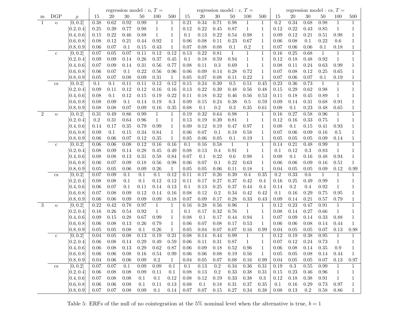|                |                        |                          |                  |                  | regression model : $o, T =$ |                  |                       |                             |                  |              |                              | regression model : c, $T =$ |                           |                              |                  |              | regression model : cs, $T =$ |                     |                      |                         |
|----------------|------------------------|--------------------------|------------------|------------------|-----------------------------|------------------|-----------------------|-----------------------------|------------------|--------------|------------------------------|-----------------------------|---------------------------|------------------------------|------------------|--------------|------------------------------|---------------------|----------------------|-------------------------|
| m              | DGP                    | $\rho$                   | 15               | $20\,$           | $30\,$                      | 50               | 100                   | 500                         | 15               | <b>20</b>    | $30\,$                       | 50                          | 100                       | 500                          | 15               | $20\,$       | $30\,$                       | 50                  | 100                  | 500                     |
| $\mathbf{1}$   | $\mathbf O$            | [0, 0.2]                 | 0.38             | 0.62             | 0.92                        | 0.99             | $\mathbf{1}$          | $\mathbf{1}$                | 0.21             | 0.34         | 0.71                         | 0.98                        | $\mathbf{1}$              | $\mathbf{1}$                 | 0.2              | 0.34         | 0.68                         | 0.98                | $\mathbf{1}$         | $\mathbf{1}$            |
|                |                        | [0.2, 0.4]               | 0.25             | 0.39             | 0.77                        | 0.98             | $\mathbf{1}$          | $\mathbf{1}$                | 0.12             | 0.22         | 0.45                         | 0.87                        | $\mathbf{1}$              | $\mathbf{1}$                 | 0.12             | 0.22         | 0.43                         | 0.85                | $\mathbf{1}$         | 1                       |
|                |                        | [0.4, 0.6]               | 0.15             | 0.22             | 0.46                        | 0.88             | $\mathbf{1}$          | $\mathbf{1}$                | 0.1              | 0.13         | 0.22                         | $0.54\,$                    | 0.98                      | $\mathbf{1}$                 | 0.09             | 0.12         | 0.21                         | 0.51                | 0.98                 | 1                       |
|                |                        | [0.6, 0.8]               | 0.08             | 0.12             | 0.21                        | 0.44             | 0.92                  | $\mathbf{1}$                | 0.06             | 0.08         | 0.11                         | 0.23                        | 0.67                      | $\mathbf{1}$                 | 0.06             | 0.08         | 0.1                          | 0.22                | 0.6                  | 1                       |
|                |                        | [0.8, 0.9]               | 0.06<br>0.07     | 0.07<br>0.05     | 0.1<br>0.07                 | $0.15\,$<br>0.11 | 0.43<br>0.12          | $\mathbf{1}$<br>0.12        | 0.07<br>0.13     | 0.08<br>0.22 | 0.08<br>0.81                 | 0.1<br>$\mathbf{1}$         | $\rm 0.2$<br>$\mathbf{1}$ | $\mathbf{1}$<br>$\mathbf{1}$ | 0.07<br>0.16     | 0.06<br>0.25 | 0.06<br>0.68                 | 0.1<br>$\mathbf{1}$ | 0.18<br>$\mathbf{1}$ | 1                       |
|                | с                      | [0, 0.2]<br>[0.2, 0.4]   | 0.09             | 0.09             | 0.14                        | 0.26             | 0.37                  | 0.45                        | 0.1              | 0.18         | 0.59                         | 0.94                        | $\mathbf{1}$              | $\mathbf{1}$                 | 0.12             | 0.18         | 0.48                         | 0.92                | $\mathbf{1}$         | 1                       |
|                |                        | [0.4, 0.6]               | 0.07             | 0.09             | 0.14                        | 0.31             | 0.56                  | 0.77                        | 0.08             | 0.11         | 0.3                          | 0.69                        | $\mathbf{1}$              | $\mathbf{1}$                 | 0.08             | 0.11         | 0.24                         | 0.63                | 0.99                 | 1                       |
|                |                        | [0.6, 0.8]               | 0.06             | 0.07             | 0.1                         | 0.22             | 0.56                  | 0.96                        | 0.06             | 0.09         | 0.14                         | 0.28                        | 0.72                      | $\mathbf{1}$                 | 0.07             | 0.08         | $0.12\,$                     | 0.25                | 0.65                 | 1                       |
|                |                        | [0.8, 0.9]               | 0.05             | 0.07             | 0.08                        | 0.09             | 0.31                  | $\mathbf{1}$                | 0.05             | $0.07\,$     | 0.08                         | 0.11                        | 0.22                      | $\mathbf{1}$                 | 0.07             | 0.06         | 0.07                         | 0.1                 | 0.19                 | 1                       |
|                | $\mathbf{c}\mathbf{s}$ | [0, 0.2]                 | $\overline{0.1}$ | $\overline{0.1}$ | 0.11                        | 0.11             | 0.12                  | 0.12                        | 0.15             | 0.24         | 0.39                         | 0.5                         | 0.51                      | 0.45                         | 0.23             | 0.36         | 0.73                         | $\mathbf{1}$        | $\mathbf{1}$         |                         |
|                |                        | [0.2, 0.4]               | 0.09             | 0.11             | 0.12                        | 0.12             | 0.16                  | 0.16                        | 0.13             | 0.22         | 0.39                         | 0.48                        | 0.56                      | 0.48                         | 0.15             | 0.29         | 0.62                         | 0.98                | $\mathbf{1}$         | 1                       |
|                |                        | [0.4, 0.6]               | 0.08             | 0.1              | 0.12                        | 0.15             | 0.19                  | 0.22                        | 0.11             | 0.18         | 0.32                         | 0.46                        | 0.56                      | 0.53                         | 0.11             | 0.18         | 0.45                         | 0.89                | $\mathbf{1}$         | 1                       |
|                |                        | [0.6, 0.8]               | 0.08             | 0.09             | 0.1                         | 0.14             | 0.19                  | 0.3                         | 0.09             | 0.15         | 0.24                         | 0.38                        | 0.5                       | 0.59                         | 0.09             | 0.14         | 0.31                         | 0.68                | 0.91                 | 1                       |
|                |                        | [0.8, 0.9]               | 0.08             | 0.08             | 0.07                        | 0.09             | 0.16                  | 0.35                        | 0.08             | 0.1          | 0.2                          | 0.3                         | 0.35                      | 0.61                         | 0.08             | 0.1          | 0.23                         | 0.48                | 0.65                 | 1                       |
| $\overline{2}$ | $\mathbf O$            | [0, 0.2]                 | 0.31             | 0.49             | 0.86                        | 0.99             | $\mathbf{1}$          | $\mathbf{1}$                | 0.19             | 0.32         | 0.64                         | 0.98                        | $\mathbf{1}$              | $\mathbf{1}$                 | 0.16             | 0.27         | 0.58                         | $0.96\,$            | $\mathbf{1}$         | 1                       |
|                |                        | [0.2, 0.4]<br>[0.4, 0.6] | 0.2<br>0.14      | 0.31<br>0.17     | 0.64<br>0.35                | 0.96<br>0.79     | $\mathbf{1}$<br>0.99  | $\mathbf 1$<br>$\mathbf{1}$ | 0.13<br>0.09     | 0.19<br>0.12 | 0.39<br>0.19                 | 0.81<br>0.47                | $\mathbf{1}$<br>0.97      | $\mathbf 1$<br>$\mathbf{1}$  | 0.12<br>0.08     | 0.16<br>0.1  | 0.33<br>0.15                 | 0.75<br>0.41        | $\mathbf{1}$<br>0.93 | 1                       |
|                |                        | [0.6, 0.8]               | 0.09             | 0.1              | 0.15                        | 0.34             | 0.84                  | $\mathbf{1}$                | 0.06             | 0.07         | 0.1                          | 0.18                        | 0.58                      | $\mathbf{1}$                 | 0.07             | 0.06         | 0.09                         | 0.16                | 0.5                  | 1<br>1                  |
|                |                        | [0.8, 0.9]               | 0.06             | 0.06             | 0.07                        | 0.12             | 0.35                  | $\mathbf{1}$                | 0.05             | $0.06\,$     | 0.05                         | 0.1                         | 0.19                      | $\mathbf{1}$                 | 0.05             | 0.05         | 0.05                         | 0.09                | 0.14                 | 1                       |
|                | $\mathbf c$            | [0, 0.2]                 | 0.06             | 0.06             | 0.08                        | 0.12             | 0.16                  | 0.16                        | $\overline{0.1}$ | 0.16         | 0.58                         | $\mathbf{1}$                | $\mathbf{1}$              | $\mathbf{1}$                 | 0.14             | 0.21         | 0.48                         | 0.99                | $\mathbf{1}$         | 1                       |
|                |                        | [0.2, 0.4]               | 0.08             | 0.09             | 0.14                        | 0.28             | 0.45                  | 0.49                        | 0.08             | 0.13         | 0.4                          | 0.91                        | $\mathbf{1}$              | $\mathbf{1}$                 | 0.1              | 0.12         | 0.3                          | 0.83                | $\mathbf{1}$         | 1                       |
|                |                        | [0.4, 0.6]               | 0.08             | 0.08             | 0.13                        | 0.31             | 0.58                  | 0.84                        | 0.07             | 0.1          | 0.22                         | 0.6                         | 0.98                      | $\mathbf{1}$                 | 0.08             | 0.1          | 0.16                         | 0.48                | 0.94                 | 1                       |
|                |                        | [0.6, 0.8]               | 0.06             | 0.07             | 0.09                        | 0.18             | 0.56                  | 0.98                        | 0.06             | 0.07         | 0.1                          | 0.22                        | 0.63                      | $\mathbf{1}$                 | 0.06             | 0.06         | 0.09                         | 0.16                | 0.51                 | 1                       |
|                |                        | [0.8, 0.9]               | 0.05             | 0.05             | 0.06                        | 0.09             | 0.26                  | $\mathbf{1}$                | 0.05             | 0.05         | 0.06                         | 0.11                        | 0.18                      | $\mathbf{1}$                 | 0.04             | 0.05         | 0.05                         | 0.09                | 0.12                 | 0.99                    |
|                | $\mathbf{c}\mathbf{s}$ | [0, 0.2]                 | 0.07             | 0.09             | 0.1                         | 0.1              | 0.1                   | 0.12                        | 0.11             | 0.17         | 0.26                         | 0.39                        | $\overline{0.4}$          | 0.35                         | $\overline{0.2}$ | 0.33         | 0.6                          | $\mathbf{1}$        | $\mathbf{1}$         | 1                       |
|                |                        | [0.2, 0.4]               | 0.08             | 0.08             | 0.1                         | 0.1              | 0.12                  | 0.12                        | 0.11             | 0.17         | 0.27                         | 0.37                        | 0.42                      | 0.4                          | 0.16             | 0.25         | 0.49                         | 0.99                | $\mathbf{1}$         | 1                       |
|                |                        | [0.4, 0.6]               | 0.06             | 0.07             | 0.1                         | 0.11<br>0.12     | 0.14                  | 0.13                        | 0.1              | 0.13         | 0.25<br>$0.2\,$              | 0.37                        | 0.44                      | 0.4<br>0.42                  | 0.14             | $\rm 0.2$    | 0.4<br>0.29                  | 0.92<br>0.75        | $\mathbf{1}$         | 1                       |
|                |                        | [0.6, 0.8]<br>[0.8, 0.9] | 0.07<br>0.06     | 0.08<br>0.06     | 0.09<br>0.09                | 0.09             | 0.14<br>0.09          | 0.16<br>0.18                | 0.08<br>0.07     | 0.12<br>0.09 | 0.17                         | 0.34<br>0.28                | 0.42<br>0.33              | 0.43                         | 0.1<br>0.09      | 0.16<br>0.14 | 0.21                         | 0.57                | 0.95<br>0.79         | 1<br>1                  |
| $\overline{3}$ | $\mathbf O$            | [0, 0.2]                 | 0.22             | 0.42             | 0.78                        | 0.97             | $\mathbf{1}$          | $\mathbf{1}$                | 0.16             | 0.28         | 0.56                         | 0.96                        | $\mathbf{1}$              | $\mathbf{1}$                 | 0.12             | 0.23         | 0.47                         | 0.91                | $\mathbf{1}$         |                         |
|                |                        | [0.2, 0.4]               | 0.16             | 0.26             | 0.54                        | 0.92             | $\mathbf{1}$          | $\mathbf{1}$                | 0.1              | 0.17         | 0.32                         | 0.76                        | $\mathbf{1}$              | $\mathbf{1}$                 | 0.08             | 0.14         | 0.27                         | 0.66                | $\mathbf{1}$         | 1                       |
|                |                        | [0.4, 0.6]               | 0.09             | 0.15             | 0.28                        | 0.67             | 0.99                  | $\mathbf{1}$                | 0.08             | 0.1          | 0.17                         | 0.44                        | 0.94                      | $\mathbf{1}$                 | 0.07             | 0.09         | 0.14                         | 0.33                | 0.88                 | 1                       |
|                |                        | [0.6, 0.8]               | 0.06             | 0.08             | 0.13                        | $0.26\,$         | 0.79                  | $\mathbf{1}$                | 0.06             | 0.07         | 0.08                         | 0.17                        | 0.53                      | $\mathbf{1}$                 | 0.06             | 0.06         | 0.08                         | 0.14                | 0.44                 | 1                       |
|                |                        | [0.8, 0.9]               | 0.05             | 0.05             | 0.08                        | 0.1              | 0.26                  | 1                           | 0.05             | 0.04         | 0.07                         | 0.07                        | 0.16                      | 0.99                         | 0.04             | 0.05         | 0.05                         | 0.07                | 0.13                 | 0.98                    |
|                | $\mathbf{C}$           | [0, 0.2]                 | 0.04             | 0.05             | 0.08                        | 0.13             | 0.19                  | 0.21                        | 0.08             | 0.14         | 0.44                         | 0.99                        | 1                         | $\mathbf 1$                  | 0.12             | 0.19         | 0.38                         | 0.95                | 1                    |                         |
|                |                        | [0.2, 0.4]               | 0.06             | 0.08             | 0.14                        | $0.29\,$         | 0.49                  | 0.59                        | 0.06             | 0.11         | $0.31\,$                     | 0.87                        | $\mathbf{1}$              | $\,1$                        | 0.07             | $0.12\,$     | 0.24                         | 0.73                | $\mathbf{1}$         |                         |
|                |                        | [0.4, 0.6]               | 0.06             | $0.08\,$         | 0.13                        | $0.29\,$         | $0.62\,$              | 0.87                        | $0.06\,$         | $0.09\,$     | 0.18                         | $0.52\,$                    | 0.96                      | $\mathbf{1}$                 | 0.06             | $0.08\,$     | 0.14                         | 0.35                | $0.9\,$              |                         |
|                |                        | [0.6, 0.8]<br>[0.8, 0.9] | 0.06<br>0.04     | 0.06             | 0.08<br>0.06                | 0.16<br>0.09     | $0.54\,$<br>$\rm 0.2$ | 0.99                        | 0.06<br>0.04     | 0.06<br>0.05 | $0.08\,$                     | $0.19\,$                    | 0.56<br>0.16              | $\mathbf{1}$                 | 0.05<br>0.04     | 0.05         | 0.08<br>0.05                 | 0.14<br>0.07        | 0.44<br>$0.13\,$     | 1                       |
|                | $_{\rm CS}$            | [0, 0.2]                 | 0.07             | 0.06<br>0.07     | 0.1                         | 0.09             | 0.09                  | $\mathbf{1}$<br>0.1         | 0.1              | 0.13         | $0.07\,$<br>$\overline{0.2}$ | 0.08<br>0.34                | 0.36                      | 0.99<br>0.31                 | 0.19             | 0.05<br>0.3  | 0.55                         | 0.99                | $\overline{1}$       | $0.97\,$<br>$\mathbf 1$ |
|                |                        | [0.2, 0.4]               | 0.06             | 0.08             | 0.08                        | 0.09             | 0.11                  | 0.1                         | 0.08             | 0.13         | 0.2                          | 0.33                        | 0.38                      | 0.31                         | 0.15             | 0.23         | 0.46                         | 0.96                | $\mathbf{1}$         |                         |
|                |                        | [0.4, 0.6]               | 0.07             | 0.08             | 0.08                        | 0.1              | 0.1                   | 0.12                        | 0.08             | 0.12         | 0.19                         | 0.33                        | 0.38                      | 0.3                          | 0.12             | 0.18         | 0.38                         | 0.91                | $\mathbf{1}$         |                         |
|                |                        | [0.6, 0.8]               | 0.06             | 0.06             | 0.08                        | 0.1              | 0.11                  | 0.13                        | 0.08             | 0.1          | 0.18                         | $0.31\,$                    | 0.37                      | $0.35\,$                     | 0.1              | 0.16         | 0.29                         | 0.73                | 0.97                 |                         |
|                |                        | [0.8, 0.9]               | 0.07             | 0.07             | 0.08                        | 0.09             | 0.1                   | 0.14                        | 0.07             | $0.07\,$     | $0.15\,$                     | 0.27                        | 0.34                      | 0.38                         | $0.08\,$         | $0.13\,$     | $0.2\,$                      | 0.58                | 0.86                 | $\mathbf 1$             |

Table 5: ERFs of the null of no cointegration at the 5% nominal level when the alternative is true,  $b = 1$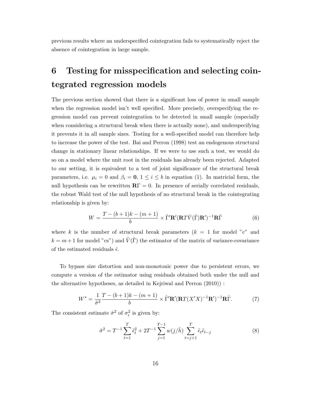previous results where an underspecified cointegration fails to systematically reject the absence of cointegration in large sample.

## 6 Testing for misspecification and selecting cointegrated regression models

The previous section showed that there is a significant loss of power in small sample when the regression model isn't well specified. More precisely, overspecifying the regression model can prevent cointegration to be detected in small sample (especially when considering a structural break when there is actually none), and underspecifying it prevents it in all sample sizes. Testing for a well-specified model can therefore help to increase the power of the test. Bai and Perron (1998) test an endogenous structural change in stationary linear relationships. If we were to use such a test, we would do so on a model where the unit root in the residuals has already been rejected. Adapted to our setting, it is equivalent to a test of joint significance of the structural break parameters, i.e.  $\mu_i = 0$  and  $\beta_i = \mathbf{0}, 1 \leq i \leq b$  in equation (1). In matricial form, the null hypothesis can be rewritten  $\mathbb{R}\Gamma = 0$ . In presence of serially correlated residuals, the robust Wald test of the null hypothesis of no structural break in the cointegrating relationship is given by:

$$
W = \frac{T - (b+1)k - (m+1)}{b} \times \hat{\Gamma}' \mathbf{R}' (\mathbf{R} T \hat{V} (\hat{\Gamma}) \mathbf{R}')^{-1} \mathbf{R} \hat{\Gamma}
$$
(6)

where k is the number of structural break parameters  $(k = 1$  for model "c" and  $k = m+1$  for model "cs") and  $\hat{V}(\hat{\Gamma})$  the estimator of the matrix of variance-covariance of the estimated residuals  $\hat{\epsilon}$ .

To bypass size distortion and non-monotonic power due to persistent errors, we compute a version of the estimator using residuals obtained both under the null and the alternative hypotheses, as detailed in Kejriwal and Perron (2010)) :

$$
W^* = \frac{1}{\hat{\sigma}^2} \frac{T - (b+1)k - (m+1)}{b} \times \hat{\Gamma}' \mathbf{R}' (\mathbf{R} T (X'X)^{-1} \mathbf{R}')^{-1} \mathbf{R} \hat{\Gamma}.
$$
 (7)

The consistent estimate  $\hat{\sigma}^2$  of  $\sigma_{\epsilon}^2$  is given by:

$$
\hat{\sigma}^2 = T^{-1} \sum_{t=1}^T \tilde{\epsilon}_t^2 + 2T^{-1} \sum_{j=1}^{T-1} w(j/\hat{h}) \sum_{t=j+1}^T \tilde{\epsilon}_t \tilde{\epsilon}_{t-j}
$$
(8)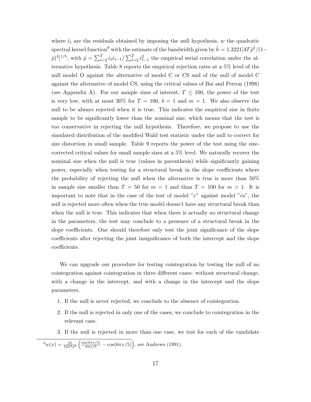where  $\tilde{\epsilon}_t$  are the residuals obtained by imposing the null hypothesis, w the quadratic spectral kernel function<sup>9</sup> with the estimate of the bandwidth given by  $\hat{h} = 1.3221[4T\hat{\rho}^2/(1 (\hat{\rho})^4]^{1/5}$ , with  $\hat{\rho} = \sum_{t=2}^T \hat{\epsilon}_t \hat{\epsilon}_{t-1} / \sum_{t=2}^T \hat{\epsilon}_{t-1}^2$  the empirical serial correlation under the alternative hypothesis. Table 8 reports the empirical rejection rates at a 5% level of the null model O against the alternative of model C or CS and of the null of model C against the alternative of model CS, using the critical values of Bai and Perron (1998) (see Appendix A). For our sample sizes of interest,  $T \le 100$ , the power of the test is very low, with at most 30% for  $T = 100$ ,  $b = 1$  and  $m = 1$ . We also observe the null to be always rejected when it is true. This indicates the empirical size in finite sample to be significantly lower than the nominal size, which means that the test is too conservative in rejecting the null hypothesis. Therefore, we propose to use the simulated distribution of the modified Wald test statistic under the null to correct for size distortion in small sample. Table 9 reports the power of the test using the sizecorrected critical values for small sample sizes at a 5% level. We naturally recover the nominal size when the null is true (values in parenthesis) while significantly gaining power, especially when testing for a structural break in the slope coefficients where the probability of rejecting the null when the alternative is true is more than 50% in sample size smaller than  $T = 50$  for  $m = 1$  and than  $T = 100$  for  $m > 1$ . It is important to note that in the case of the test of model "c" against model "cs", the null is rejected more often when the true model doesn't have any structural break than when the null is true. This indicates that when there is actually no structural change in the parameters, the test may conclude to a presence of a structural break in the slope coefficients. One should therefore only test the joint significance of the slope coefficients after rejecting the joint insignificance of both the intercept and the slope coefficients.

We can upgrade our procedure for testing cointegration by testing the null of no cointegration against cointegration in three different cases: without structural change, with a change in the intercept, and with a change in the intercept and the slope parameters.

- 1. If the null is never rejected, we conclude to the absence of cointegration.
- 2. If the null is rejected in only one of the cases, we conclude to cointegration in the relevant case.
- 3. If the null is rejected in more than one case, we test for each of the candidate

 $^{9}w(x) = \frac{25}{12\pi^2 x^2} \left( \frac{\sin(6\pi x/5)}{6\pi x/5} - \cos(6\pi x/5) \right)$ , see Andrews (1991).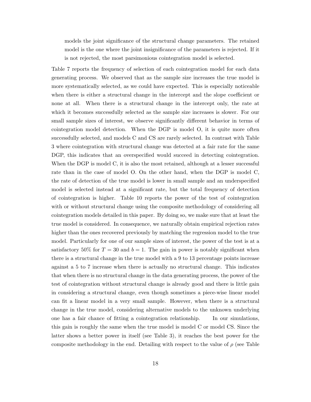models the joint significance of the structural change parameters. The retained model is the one where the joint insignificance of the parameters is rejected. If it is not rejected, the most parsimonious cointegration model is selected.

Table 7 reports the frequency of selection of each cointegration model for each data generating process. We observed that as the sample size increases the true model is more systematically selected, as we could have expected. This is especially noticeable when there is either a structural change in the intercept and the slope coefficient or none at all. When there is a structural change in the intercept only, the rate at which it becomes successfully selected as the sample size increases is slower. For our small sample sizes of interest, we observe significantly different behavior in terms of cointegration model detection. When the DGP is model O, it is quite more often successfully selected, and models C and CS are rarely selected. In contrast with Table 3 where cointegration with structural change was detected at a fair rate for the same DGP, this indicates that an overspecified would succeed in detecting cointegration. When the DGP is model C, it is also the most retained, although at a lesser successful rate than in the case of model O. On the other hand, when the DGP is model C, the rate of detection of the true model is lower in small sample and an underspecified model is selected instead at a significant rate, but the total frequency of detection of cointegration is higher. Table 10 reports the power of the test of cointegration with or without structural change using the composite methodology of considering all cointegration models detailed in this paper. By doing so, we make sure that at least the true model is considered. In consequence, we naturally obtain empirical rejection rates higher than the ones recovered previously by matching the regression model to the true model. Particularly for one of our sample sizes of interest, the power of the test is at a satisfactory 50% for  $T = 30$  and  $b = 1$ . The gain in power is notably significant when there is a structural change in the true model with a 9 to 13 percentage points increase against a 5 to 7 increase when there is actually no structural change. This indicates that when there is no structural change in the data generating process, the power of the test of cointegration without structural change is already good and there is little gain in considering a structural change, even though sometimes a piece-wise linear model can fit a linear model in a very small sample. However, when there is a structural change in the true model, considering alternative models to the unknown underlying one has a fair chance of fitting a cointegration relationship. In our simulations, this gain is roughly the same when the true model is model C or model CS. Since the latter shows a better power in itself (see Table 3), it reaches the best power for the composite methodology in the end. Detailing with respect to the value of  $\rho$  (see Table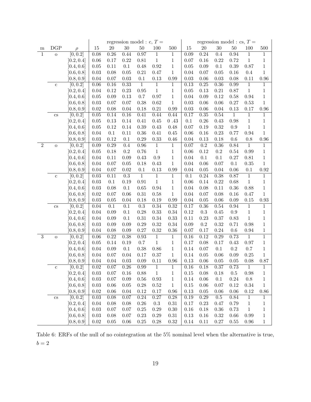|                |                |            |          |                   | regression model : c, $T =$ |                  |                |                |          |                  |           | regression model : cs, $T =$ |                |                |
|----------------|----------------|------------|----------|-------------------|-----------------------------|------------------|----------------|----------------|----------|------------------|-----------|------------------------------|----------------|----------------|
| m              | $_{\rm DGP}$   | $\rho$     | $15\,$   | $20\,$            | $30\,$                      | $50\,$           | 100            | 500            | 15       | $20\,$           | $30\,$    | $50\,$                       | 100            | 500            |
| $\mathbf{1}$   | $\overline{O}$ | [0, 0.2]   | 0.08     | 0.26              | 0.44                        | 0.97             | $\mathbf{1}$   | $\mathbf{1}$   | 0.09     | 0.24             | 0.4       | 0.94                         | $\mathbf{1}$   | $\mathbf{1}$   |
|                |                | [0.2, 0.4] | 0.06     | $0.17\,$          | 0.22                        | 0.81             | $\,1\,$        | $\,1$          | $0.07\,$ | $0.16\,$         | 0.22      | 0.72                         | $\mathbf 1$    | $\mathbf{1}$   |
|                |                | [0.4, 0.6] | $0.05\,$ | 0.11              | $0.1\,$                     | 0.48             | $\rm 0.92$     | $\,1$          | $0.05\,$ | $0.09\,$         | $0.1\,$   | 0.39                         | 0.87           | $\mathbf 1$    |
|                |                | [0.6, 0.8] | 0.03     | 0.08              | $0.05\,$                    | 0.21             | 0.47           | $\,1$          | $0.04\,$ | $0.07\,$         | 0.05      | 0.16                         | 0.4            | $\mathbf 1$    |
|                |                | [0.8, 0.9] | 0.04     | 0.07              | $0.03\,$                    | $0.1\,$          | $0.13\,$       | 0.99           | $0.03\,$ | $0.06\,$         | 0.03      | 0.08                         | 0.11           | 0.96           |
|                | $\mathbf c$    | [0, 0.2]   | 0.06     | 0.16              | 0.33                        | $\overline{1}$   | $\mathbf 1$    | $\mathbf{1}$   | 0.13     | 0.25             | 0.36      | 0.99                         | $\,1$          | $\,1$          |
|                |                | [0.2, 0.4] | 0.04     | $0.12\,$          | $0.23\,$                    | 0.95             | $\,1\,$        | $\mathbf{1}$   | $0.05\,$ | 0.13             | $0.21\,$  | 0.87                         | $\,1$          | $\mathbf{1}$   |
|                |                | [0.4, 0.6] | $0.05\,$ | $0.09\,$          | $0.13\,$                    | 0.7              | 0.97           | $\,1$          | $0.04\,$ | $0.09\,$         | 0.12      | 0.58                         | 0.94           | $\mathbf 1$    |
|                |                | [0.6, 0.8] | 0.03     | $0.07\,$          | 0.07                        | 0.38             | 0.62           | $\,1$          | $0.03\,$ | $0.06\,$         | 0.06      | $0.27\,$                     | 0.53           | $\mathbf 1$    |
|                |                | [0.8, 0.9] | 0.02     | 0.08              | 0.04                        | 0.18             | $0.21\,$       | 0.99           | $0.03\,$ | $0.06\,$         | 0.04      | 0.13                         | 0.17           | 0.96           |
|                | $_{\rm CS}$    | [0, 0.2]   | 0.05     | 0.14              | 0.16                        | 0.41             | 0.44           | 0.44           | 0.17     | 0.35             | 0.54      | $\overline{1}$               | $\mathbf{1}$   | $\mathbf{1}$   |
|                |                | [0.2, 0.4] | $0.05\,$ | 0.13              | 0.14                        | 0.41             | 0.45           | $0.43\,$       | $0.1\,$  | $0.26\,$         | 0.43      | 0.98                         | $\,1$          | $\mathbf{1}$   |
|                |                | [0.4, 0.6] | $0.05\,$ | $0.12\,$          | 0.14                        | 0.39             | 0.43           | 0.48           | 0.07     | 0.19             | 0.32      | $\rm 0.9$                    | $\mathbf 1$    | $\mathbf 1$    |
|                |                | [0.6, 0.8] | 0.04     | $0.1\,$           | 0.11                        | 0.36             | $0.41\,$       | 0.45           | $0.06\,$ | $0.16\,$         | 0.23      | 0.77                         | 0.94           | $\mathbf{1}$   |
|                |                | [0.8, 0.9] | 0.03     | $0.12\,$          | $0.1\,$                     | 0.29             | $0.33\,$       | 0.46           | $0.04\,$ | 0.13             | 0.18      | $0.6\,$                      | $0.8\,$        | 0.96           |
| $\overline{2}$ | $\overline{O}$ | [0, 0.2]   | $0.09\,$ | $0.29\,$          | $0.4\,$                     | 0.96             | $\,1\,$        | $\mathbf 1$    | $0.07\,$ | $\overline{0.2}$ | 0.36      | 0.84                         | $\overline{1}$ | $\mathbf 1$    |
|                |                | [0.2, 0.4] | $0.05\,$ | 0.18              | $\rm 0.2$                   | 0.76             | $\mathbf 1$    | $\,1$          | $0.06\,$ | 0.12             | $\rm 0.2$ | 0.54                         | 0.99           | $\mathbf{1}$   |
|                |                | [0.4, 0.6] | 0.04     | 0.11              | 0.09                        | 0.43             | $\rm 0.9$      | $\,1$          | $0.04\,$ | $0.1\,$          | $0.1\,$   | $0.27\,$                     | $0.81\,$       | $\mathbf{1}$   |
|                |                | [0.6, 0.8] | 0.04     | $0.07\,$          | $0.05\,$                    | 0.18             | 0.43           | $\,1$          | $0.04\,$ | $0.06\,$         | 0.07      | $0.1\,$                      | $0.35\,$       | $\mathbf 1$    |
|                |                | [0.8, 0.9] | 0.04     | 0.07              | $0.02\,$                    | $0.1\,$          | $0.13\,$       | 0.99           | 0.04     | $0.05\,$         | 0.04      | 0.06                         | $0.1\,$        | $\rm 0.92$     |
|                | $\mathbf c$    | [0, 0.2]   | 0.03     | 0.11              | 0.3                         | $\overline{1}$   | $\overline{1}$ | $\mathbf 1$    | 0.1      | 0.24             | 0.38      | 0.87                         | $\mathbf{1}$   | $\mathbf 1$    |
|                |                | [0.2, 0.4] | 0.03     | $0.1\,$           | 0.19                        | 0.91             | $\,1\,$        | $\mathbf 1$    | 0.06     | 0.14             | 0.22      | 0.68                         | $\mathbf 1$    | $\mathbf{1}$   |
|                |                | [0.4, 0.6] | 0.03     | 0.08              | $0.1\,$                     | 0.65             | 0.94           | $\,1$          | $0.04\,$ | 0.08             | 0.11      | 0.36                         | 0.88           | $\mathbf{1}$   |
|                |                | [0.6, 0.8] | 0.02     | $0.07\,$          | $0.06\,$                    | 0.31             | $0.58\,$       | $\,1$          | $0.04\,$ | 0.07             | 0.08      | 0.16                         | 0.47           | $\mathbf 1$    |
|                |                | [0.8, 0.9] | 0.03     | $0.05\,$          | 0.04                        | 0.18             | $0.19\,$       | 0.99           | 0.04     | 0.05             | 0.06      | 0.09                         | 0.15           | $\rm 0.93$     |
|                | $_{\rm CS}$    | [0, 0.2]   | 0.04     | $\overline{0.1}$  | 0.1                         | $\overline{0.3}$ | 0.34           | 0.32           | 0.17     | 0.36             | 0.54      | 0.94                         | $\overline{1}$ | $\overline{1}$ |
|                |                | [0.2, 0.4] | 0.04     | $0.09\,$          | $0.1\,$                     | 0.28             | 0.33           | 0.34           | $0.12\,$ | $\rm 0.3$        | 0.45      | $\rm 0.9$                    | $\mathbf 1$    | $\mathbf{1}$   |
|                |                | [0.4, 0.6] | 0.04     | $0.09\,$          | $0.1\,$                     | 0.31             | 0.34           | 0.33           | 0.11     | 0.23             | 0.37      | 0.83                         | $\mathbf 1$    | $\mathbf 1$    |
|                |                | [0.6, 0.8] | 0.03     | $0.09\,$          | 0.09                        | 0.29             | 0.32           | 0.34           | $0.09\,$ | $\rm 0.2$        | 0.32      | 0.71                         | 0.98           | $\mathbf 1$    |
|                |                | [0.8, 0.9] | 0.04     | 0.08              | 0.09                        | 0.27             | 0.32           | 0.36           | $0.07\,$ | 0.17             | 0.24      | $0.6\,$                      | $\rm 0.94$     | $\mathbf{1}$   |
| $\overline{3}$ | $\rm{O}$       | [0, 0.2]   | 0.06     | 0.22              | $0.38\,$                    | 0.93             | $\overline{1}$ | $\,1$          | 0.16     | 0.12             | 0.29      | 0.73                         | $\overline{1}$ | $\overline{1}$ |
|                |                | [0.2, 0.4] | $0.05\,$ | 0.14              | $0.19\,$                    | $0.7\,$          | $\,1\,$        | $\,1$          | 0.17     | 0.08             | 0.17      | 0.43                         | 0.97           | $\mathbf{1}$   |
|                |                | [0.4, 0.6] | 0.04     | $0.09\,$          | $0.1\,$                     | 0.38             | $0.86\,$       | $\,1$          | 0.14     | $0.07\,$         | $0.1\,$   | $\rm 0.2$                    | $0.7\,$        | $\mathbf{1}$   |
|                |                | [0.6, 0.8] | 0.04     | $0.07\,$          | 0.04                        | 0.17             | $0.37\,$       | $\,1\,$        | 0.14     | $0.05\,$         | 0.06      | 0.09                         | 0.25           | $\mathbf 1$    |
|                |                | [0.8, 0.9] | 0.04     | 0.04              | 0.03                        | 0.09             | 0.11           | 0.96           | 0.13     | 0.06             | 0.05      | 0.05                         | 0.08           | 0.87           |
|                | с              | [0, 0.2]   | 0.02     | $\overline{0.07}$ | 0.26                        | 0.99             | $\overline{1}$ | $\overline{1}$ | 0.16     | 0.18             | 0.37      | 0.73                         | $\overline{1}$ | $\overline{1}$ |
|                |                | [0.2, 0.4] | $0.03\,$ | $0.07\,$          | 0.16                        | 0.88             | $\,1$          | $\,1$          | $0.15\,$ | 0.08             | 0.18      | $0.5\,$                      | $0.98\,$       | $\mathbf{1}$   |
|                |                | [0.4, 0.6] | $0.03\,$ | $0.07\,$          | $0.09\,$                    | $0.56\,$         | $\rm 0.93$     | $\,1\,$        | 0.14     | $0.06\,$         | $0.1\,$   | $0.24\,$                     | $0.8\,$        | $\mathbf{1}$   |
|                |                | [0.6, 0.8] | $0.03\,$ | $0.06\,$          | 0.05                        | $0.28\,$         | $0.52\,$       | $\,1\,$        | $0.15\,$ | $0.06\,$         | 0.07      | 0.12                         | $0.34\,$       | $\mathbf{1}$   |
|                |                | [0.8, 0.9] | 0.02     | $0.06\,$          | $0.04\,$                    | 0.12             | 0.17           | 0.96           | $0.13\,$ | 0.05             | 0.06      | 0.06                         | $0.12\,$       | 0.86           |
|                | $_{\rm CS}$    | [0, 0.2]   | 0.03     | 0.08              | 0.07                        | 0.24             | 0.27           | 0.28           | 0.19     | 0.29             | 0.5       | 0.84                         | $\overline{1}$ | $\mathbf{1}$   |
|                |                | [0.2, 0.4] | 0.04     | $0.08\,$          | $0.08\,$                    | $0.26\,$         | $0.3\,$        | $0.31\,$       | 0.17     | 0.23             | 0.47      | 0.79                         | $\,1$          | $\mathbf{1}$   |
|                |                | [0.4, 0.6] | $0.03\,$ | $0.07\,$          | $0.07\,$                    | $0.25\,$         | $0.29\,$       | 0.30           | 0.16     | 0.18             | 0.36      | 0.73                         | $\,1$          | $\mathbf{1}$   |
|                |                | [0.6, 0.8] | $0.03\,$ | $0.08\,$          | 0.07                        | 0.23             | 0.29           | $0.31\,$       | $0.13\,$ | $0.16\,$         | 0.32      | $0.66\,$                     | 0.99           | $\mathbf{1}$   |
|                |                | [0.8, 0.9] | $0.02\,$ | $0.05\,$          | $0.06\,$                    | 0.25             | $0.28\,$       | 0.32           | 0.14     | $0.11\,$         | $0.27\,$  | $0.55\,$                     | $\rm 0.96$     | $\mathbf{1}$   |

Table 6: ERFs of the null of no cointegration at the 5% nominal level when the alternative is true,  $b = 2\,$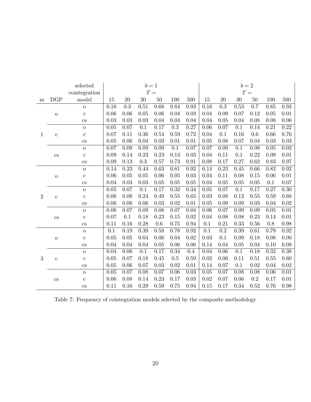|                |                            | selected               |                   |      | $b=1\,$          |       |                  |      |                   |                   |                  | $b=2\,$        |      |                   |
|----------------|----------------------------|------------------------|-------------------|------|------------------|-------|------------------|------|-------------------|-------------------|------------------|----------------|------|-------------------|
|                |                            | cointegration          |                   |      |                  | $T =$ |                  |      |                   |                   |                  | ${\cal T}$ $=$ |      |                   |
| ${\bf m}$      | DGP                        | model                  | 15                | 20   | 30               | 50    | 100              | 500  | 15                | 20                | $30\,$           | 50             | 100  | 500               |
|                |                            | ${\cal O}$             | 0.16              | 0.3  | 0.51             | 0.68  | 0.84             | 0.93 | 0.16              | 0.3               | 0.53             | 0.7            | 0.85 | 0.93              |
|                | $\rm{O}$                   | $\mathbf{C}$           | 0.06              | 0.06 | 0.05             | 0.06  | 0.04             | 0.03 | 0.04              | 0.09              | 0.07             | 0.12           | 0.05 | $0.01\,$          |
|                |                            | $\mathbf{c}\mathbf{s}$ | 0.03              | 0.03 | 0.03             | 0.04  | 0.04             | 0.04 | 0.04              | 0.05              | 0.04             | 0.08           | 0.08 | 0.06              |
|                |                            | $\mathbf O$            | 0.05              | 0.07 | 0.1              | 0.17  | $\overline{0.3}$ | 0.27 | 0.06              | $\overline{0.07}$ | 0.1              | 0.14           | 0.21 | 0.22              |
| $\mathbf{1}$   | $\mathbf c$                | $\mathbf c$            | 0.07              | 0.11 | 0.36             | 0.54  | 0.59             | 0.72 | 0.04              | 0.1               | 0.16             | $0.6\,$        | 0.66 | 0.76              |
|                |                            | $\overline{\text{cs}}$ | 0.05              | 0.06 | 0.04             | 0.03  | 0.01             | 0.01 | 0.05              | 0.08              | 0.07             | 0.04           | 0.03 | 0.03              |
|                |                            | $\mathbf O$            | 0.07              | 0.09 | 0.09             | 0.09  | $\overline{0.1}$ | 0.07 | 0.07              | 0.09              | 0.1              | 0.08           | 0.05 | 0.02              |
|                | $\mathbf{c}\mathbf{s}$     | $\mathbf c$            | 0.09              | 0.14 | 0.23             | 0.23  | 0.13             | 0.03 | 0.04              | 0.11              | 0.1              | 0.22           | 0.09 | 0.01              |
|                |                            | $\mathbf{c}\mathbf{s}$ | 0.09              | 0.13 | 0.3              | 0.57  | 0.73             | 0.91 | 0.08              | 0.17              | 0.27             | 0.62           | 0.83 | 0.97              |
|                |                            | ${\rm O}$              | 0.14              | 0.23 | 0.44             | 0.63  | 0.81             | 0.92 | 0.14              | 0.23              | 0.45             | 0.66           | 0.82 | $\rm 0.92$        |
|                | ${\rm O}$                  | $\mathbf{C}$           | 0.06              | 0.05 | $0.05\,$         | 0.06  | 0.05             | 0.03 | 0.04              | 0.11              | 0.08             | 0.15           | 0.06 | 0.01              |
|                |                            | $\overline{\text{cs}}$ | 0.04              | 0.03 | 0.03             | 0.05  | 0.05             | 0.05 | 0.04              | 0.05              | 0.05             | 0.05           | 0.1  | 0.07              |
|                |                            | $\mathbf{O}$           | 0.05              | 0.07 | 0.1              | 0.17  | 0.32             | 0.34 | 0.05              | 0.07              | 0.1              | 0.17           | 0.27 | 0.30              |
| $\overline{2}$ | $\mathbf c$                | $\mathbf{c}$           | 0.06              | 0.08 | 0.24             | 0.49  | 0.55             | 0.65 | 0.03              | 0.08              | 0.13             | 0.55           | 0.59 | 0.68              |
|                |                            | $\overline{\text{cs}}$ | 0.06              | 0.06 | 0.06             | 0.03  | 0.02             | 0.01 | 0.05              | 0.09              | 0.09             | 0.03           | 0.04 | $0.02\,$          |
|                |                            | $\overline{O}$         | $\overline{0.06}$ | 0.07 | 0.09             | 0.08  | 0.07             | 0.04 | $\overline{0.06}$ | 0.07              | 0.09             | 0.09           | 0.05 | $\overline{0.01}$ |
|                | $\mathop{\rm CS}\nolimits$ | $\mathbf c$            | 0.07              | 0.1  | 0.18             | 0.23  | 0.15             | 0.02 | 0.04              | 0.08              | 0.08             | 0.23           | 0.14 | $0.01\,$          |
|                |                            | $\overline{\text{cs}}$ | 0.11              | 0.16 | 0.28             | 0.6   | 0.75             | 0.94 | 0.1               | 0.21              | 0.33             | 0.56           | 0.8  | 0.98              |
|                |                            | $\overline{O}$         | 0.1               | 0.19 | 0.39             | 0.58  | 0.78             | 0.92 | 0.1               | 0.2               | 0.39             | 0.61           | 0.79 | $\rm 0.92$        |
|                | $\mathbf O$                | $\mathbf{C}$           | 0.05              | 0.05 | 0.04             | 0.06  | 0.04             | 0.02 | 0.03              | 0.1               | 0.09             | 0.18           | 0.08 | 0.00              |
|                |                            | $\overline{\text{cs}}$ | 0.04              | 0.04 | 0.04             | 0.05  | 0.06             | 0.06 | 0.14              | 0.04              | 0.05             | 0.04           | 0.10 | 0.08              |
|                |                            | ${\cal O}$             | 0.04              | 0.06 | $\overline{0.1}$ | 0.17  | 0.34             | 0.4  | 0.04              | 0.06              | $\overline{0.1}$ | 0.18           | 0.32 | 0.38              |
| 3              | $\mathbf c$                | $\mathbf c$            | 0.05              | 0.07 | 0.18             | 0.45  | 0.5              | 0.59 | 0.02              | 0.06              | 0.11             | 0.51           | 0.55 | $0.60\,$          |
|                |                            | $\mathbf{c}\mathbf{s}$ | 0.05              | 0.06 | 0.07             | 0.03  | 0.02             | 0.01 | 0.14              | 0.07              | $0.1\,$          | 0.02           | 0.04 | $0.02\,$          |
|                |                            | ${\rm O}$              | 0.05              | 0.07 | 0.08             | 0.07  | 0.06             | 0.03 | 0.05              | 0.07              | 0.08             | 0.08           | 0.06 | $0.01\,$          |
|                | $\mathbf{c}\mathbf{s}$     | $\mathbf{c}$           | 0.06              | 0.08 | 0.14             | 0.23  | 0.17             | 0.03 | 0.02              | 0.07              | 0.06             | 0.2            | 0.17 | 0.01              |
|                |                            | $\mathbf{c}\mathbf{s}$ | 0.11              | 0.16 | 0.29             | 0.59  | 0.75             | 0.94 | 0.15              | 0.17              | 0.34             | 0.52           | 0.76 | 0.98              |

Table 7: Frequency of cointegration models selected by the composite methodology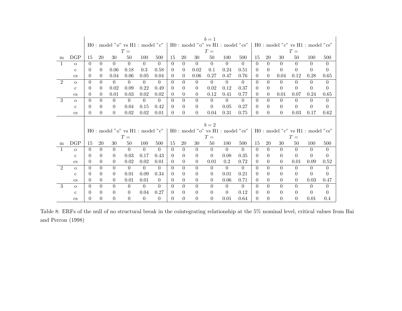|                |                        |          | $b=1$<br>$\rm H0$ : model "o" vs $\rm H1$ : model "cs" |                |                                    |                |          |                  |                |                |                |                                             |                  |          |                |                |          |                                     |          |
|----------------|------------------------|----------|--------------------------------------------------------|----------------|------------------------------------|----------------|----------|------------------|----------------|----------------|----------------|---------------------------------------------|------------------|----------|----------------|----------------|----------|-------------------------------------|----------|
|                |                        |          |                                                        |                | $H0:$ model "o" vs $H1:$ model "c" |                |          |                  |                |                |                |                                             |                  |          |                |                |          | $H0:$ model "c" vs $H1:$ model "cs" |          |
|                |                        |          |                                                        |                | $T =$                              |                |          |                  |                |                | $T =$          |                                             |                  |          |                |                | $T =$    |                                     |          |
| m              | DGP                    | 15       | 20                                                     | 30             | 50                                 | 100            | 500      | 15               | 20             | 30             | 50             | 100                                         | 500              | 15       | 20             | 30             | 50       | 100                                 | 500      |
| $\mathbf{1}$   | $\overline{O}$         | $\Omega$ | $\Omega$                                               | $\Omega$       | $\Omega$                           | $\Omega$       | $\Omega$ | $\Omega$         | $\theta$       | $\theta$       | $\theta$       | $\theta$                                    | $\theta$         | $\Omega$ | $\theta$       | $\theta$       | $\Omega$ | $\Omega$                            | $\theta$ |
|                | C                      | $\Omega$ | $\Omega$                                               | 0.06           | 0.18                               | 0.3            | 0.58     | $\Omega$         | $\theta$       | 0.02           | 0.1            | 0.24                                        | 0.51             | $\theta$ | $\theta$       | $\Omega$       | $\Omega$ | $\Omega$                            | $\Omega$ |
|                | <b>CS</b>              | $\Omega$ | $\theta$                                               | 0.04           | 0.06                               | 0.05           | 0.04     | $\theta$         | $\theta$       | 0.06           | 0.27           | 0.47                                        | 0.76             | $\theta$ | $\overline{0}$ | 0.04           | 0.12     | 0.28                                | 0.65     |
| $\overline{2}$ | $\Omega$               | $\Omega$ | $\theta$                                               | $\theta$       | $\theta$                           | $\theta$       | $\Omega$ | $\Omega$         | $\theta$       | $\theta$       | $\theta$       | $\Omega$                                    | $\Omega$         | $\theta$ | $\theta$       | $\Omega$       | $\Omega$ | $\Omega$                            | $\theta$ |
|                | $\mathbf{c}$           | $\Omega$ | $\Omega$                                               | 0.02           | 0.09                               | 0.22           | 0.49     | $\Omega$         | $\overline{0}$ | $\theta$       | 0.02           | 0.12                                        | 0.37             | $\theta$ | $\Omega$       | $\Omega$       | $\Omega$ | $\Omega$                            | $\Omega$ |
|                | <b>CS</b>              | $\Omega$ | $\Omega$                                               | 0.01           | 0.03                               | 0.02           | 0.02     | $\Omega$         | $\Omega$       | $\Omega$       | 0.12           | 0.41                                        | 0.77             | $\theta$ | $\theta$       | 0.01           | 0.07     | 0.24                                | 0.65     |
| 3              | $\Omega$               | $\Omega$ | $\Omega$                                               | $\theta$       | $\theta$                           | $\theta$       | $\Omega$ | $\Omega$         | $\Omega$       | $\Omega$       | $\theta$       | $\theta$                                    | $\theta$         | $\Omega$ | $\Omega$       | $\Omega$       | $\Omega$ | $\Omega$                            | $\theta$ |
|                | $\mathbf{c}$           | $\Omega$ | $\theta$                                               | $\Omega$       | 0.04                               | 0.15           | 0.42     | $\Omega$         | $\overline{0}$ | $\theta$       | $\Omega$       | 0.05                                        | 0.27             | $\theta$ | $\theta$       | $\theta$       | $\Omega$ | $\theta$                            | $\theta$ |
|                | $\mathbf{c}\mathbf{s}$ | $\Omega$ | $\Omega$                                               | $\Omega$       | 0.02                               | 0.02           | 0.01     | $\Omega$         | $\Omega$       | $\Omega$       | 0.04           | 0.31                                        | 0.75             | $\Omega$ | $\theta$       | $\Omega$       | 0.03     | 0.17                                | 0.62     |
|                |                        |          |                                                        |                |                                    |                |          |                  |                |                |                |                                             |                  |          |                |                |          |                                     |          |
|                |                        |          |                                                        |                |                                    |                |          |                  |                |                |                |                                             |                  |          |                |                |          |                                     |          |
|                |                        |          |                                                        |                |                                    |                |          |                  |                |                | $b=2$          |                                             |                  |          |                |                |          |                                     |          |
|                |                        |          |                                                        |                | $H0:$ model "o" vs $H1:$ model "c" |                |          |                  |                |                |                | $H0:$ model " $o$ " vs $H1:$ model " $cs$ " |                  |          |                |                |          | $H0:$ model "c" vs $H1:$ model "cs" |          |
|                |                        |          |                                                        |                | $T =$                              |                |          |                  |                |                | $T =$          |                                             |                  |          |                |                | $T =$    |                                     |          |
| m              | DGP                    | 15       | 20                                                     | 30             | 50                                 | 100            | 500      | 15               | 20             | 30             | 50             | 100                                         | 500              | 15       | 20             | 30             | 50       | 100                                 | 500      |
| $\mathbf{1}$   | $\Omega$               | $\Omega$ | $\overline{0}$                                         | $\overline{0}$ | $\overline{0}$                     | $\overline{0}$ | $\Omega$ | $\Omega$         | $\overline{0}$ | $\overline{0}$ | $\overline{0}$ | $\Omega$                                    | $\Omega$         | $\Omega$ | $\Omega$       | $\Omega$       | $\Omega$ | $\Omega$                            | $\Omega$ |
|                | $\mathbf{c}$           | $\Omega$ | $\theta$                                               | $\Omega$       | 0.03                               | 0.17           | 0.43     | $\Omega$         | $\theta$       | $\Omega$       | $\Omega$       | 0.08                                        | 0.35             | $\Omega$ | $\Omega$       | $\theta$       | $\theta$ | $\Omega$                            | $\theta$ |
|                | $\mathbf{c}\mathbf{s}$ | $\Omega$ | $\theta$                                               | $\theta$       | 0.02                               | 0.02           | 0.01     | $\Omega$         | $\overline{0}$ | $\theta$       | 0.01           | 0.2                                         | 0.72             | $\theta$ | $\theta$       | $\Omega$       | 0.01     | 0.09                                | 0.52     |
| $\overline{2}$ | $\Omega$               | $\Omega$ | $\overline{0}$                                         | $\overline{0}$ | $\overline{0}$                     | $\overline{0}$ | $\Omega$ | $\Omega$         | $\overline{0}$ | $\overline{0}$ | $\overline{0}$ | $\overline{0}$                              | $\theta$         | $\Omega$ | $\overline{0}$ | $\Omega$       | $\Omega$ | $\Omega$                            | $\Omega$ |
|                | $\mathcal{C}$          | $\Omega$ | $\theta$                                               | $\Omega$       | 0.01                               | 0.09           | 0.34     | $\Omega$         | $\overline{0}$ | $\Omega$       | $\theta$       | 0.01                                        | 0.21             | $\theta$ | $\Omega$       | $\overline{0}$ | $\Omega$ | $\Omega$                            | $\theta$ |
|                | <b>CS</b>              | $\Omega$ | $\overline{0}$                                         | $\overline{0}$ | 0.01                               | 0.01           | $\theta$ | $\left( \right)$ | $\overline{0}$ | $\Omega$       | $\Omega$       | 0.06                                        | 0.71             | $\theta$ | $\theta$       | $\theta$       | $\theta$ | 0.03                                | 0.47     |
| 3              | $\circ$                | $\Omega$ | $\Omega$                                               | $\overline{0}$ | $\theta$                           | $\theta$       | $\Omega$ | $\Omega$         | $\Omega$       | $\Omega$       | $\theta$       | $\theta$                                    | $\theta$         | $\Omega$ | $\Omega$       | $\Omega$       | $\Omega$ | $\Omega$                            | $\theta$ |
|                | C                      | $\Omega$ | $\theta$                                               | $\Omega$       | $\Omega$                           | 0.04           | 0.27     | $\theta$         | $\overline{0}$ | $\Omega$       | $\Omega$       | $\Omega$                                    | $0.12\,$<br>0.64 | $\Omega$ | $\theta$       | $\theta$       | $\Omega$ | $\Omega$                            | $\Omega$ |

Table 8: ERFs of the null of no structural break in the cointegrating relationship at the 5% nominal level, critical values from Bai and Perron (1998)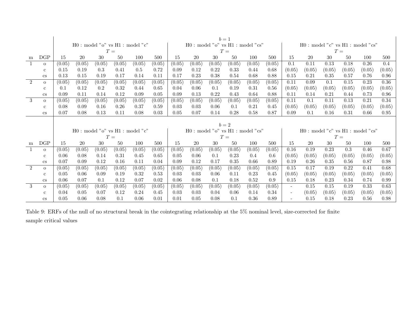|                |                | $b=1$<br>$H0:$ model " $o$ " vs $H1:$ model " $cs$ "<br>$H0:$ model " $o$ " vs $H1:$ model " $c$ "<br>$H0:$ model "c" vs $H1:$ model "cs" |                                    |        |                 |        |        |        |                                             |        |        |        |        |                          |        |                                     |        |        |        |
|----------------|----------------|-------------------------------------------------------------------------------------------------------------------------------------------|------------------------------------|--------|-----------------|--------|--------|--------|---------------------------------------------|--------|--------|--------|--------|--------------------------|--------|-------------------------------------|--------|--------|--------|
|                |                |                                                                                                                                           |                                    |        |                 |        |        |        |                                             |        |        |        |        |                          |        |                                     |        |        |        |
|                |                |                                                                                                                                           |                                    |        | $T =$           |        |        |        |                                             | $T =$  |        |        |        |                          |        | $T =$                               |        |        |        |
| m              | DGP            | 15                                                                                                                                        | 20                                 | 30     | 50              | 100    | 500    | 15     | 20                                          | 30     | 50     | 100    | 500    | 15                       | 20     | 30                                  | 50     | 100    | 500    |
|                | $\Omega$       | (0.05)                                                                                                                                    | (0.05)                             | (0.05) | (0.05)          | (0.05) | (0.05) | (0.05) | (0.05)                                      | (0.05) | (0.05) | (0.05) | (0.05) | 0.1                      | 0.11   | 0.13                                | 0.18   | 0.26   | 0.4    |
|                | $\mathbf{c}$   | 0.15                                                                                                                                      | 0.19                               | 0.3    | 0.41            | 0.5    | 0.72   | 0.09   | 0.12                                        | 0.22   | 0.33   | 0.44   | 0.68   | (0.05)                   | (0.05) | (0.05)                              | (0.05) | (0.05) | (0.05) |
|                | <b>CS</b>      | 0.13                                                                                                                                      | 0.15                               | 0.19   | 0.17            | 0.14   | 0.11   | 0.17   | 0.23                                        | 0.38   | 0.54   | 0.68   | 0.88   | 0.15                     | 0.21   | 0.35                                | 0.57   | 0.76   | 0.96   |
| $\overline{2}$ | $\circ$        | (0.05)                                                                                                                                    | (0.05)                             | (0.05) | (0.05)          | (0.05) | (0.05) | (0.05) | (0.05)                                      | (0.05) | (0.05) | (0.05) | (0.05) | 0.11                     | 0.09   | 0.1                                 | 0.15   | 0.23   | 0.36   |
|                | $\mathbf{c}$   | 0.1                                                                                                                                       | 0.12                               | 0.2    | 0.32            | 0.44   | 0.65   | 0.04   | 0.06                                        | 0.1    | 0.19   | 0.31   | 0.56   | (0.05)                   | (0.05) | (0.05)                              | (0.05) | (0.05) | (0.05) |
|                | <b>CS</b>      | 0.09                                                                                                                                      | 0.11                               | 0.14   | 0.12            | 0.09   | 0.05   | 0.09   | 0.13                                        | 0.22   | 0.43   | 0.64   | 0.88   | 0.11                     | 0.14   | 0.21                                | 0.44   | 0.73   | 0.96   |
| 3              | $\overline{O}$ | (0.05)                                                                                                                                    | (0.05)                             | (0.05) | (0.05)          | (0.05) | (0.05) | (0.05) | (0.05)                                      | (0.05) | (0.05) | (0.05) | (0.05) | 0.11                     | 0.1    | 0.11                                | 0.13   | 0.21   | 0.34   |
|                | $\mathbf{c}$   | 0.08                                                                                                                                      | 0.09                               | 0.16   | 0.26            | 0.37   | 0.59   | 0.03   | 0.03                                        | 0.06   | 0.1    | 0.21   | 0.45   | (0.05)                   | (0.05) | (0.05)                              | (0.05) | (0.05) | (0.05) |
|                | <b>CS</b>      | 0.07                                                                                                                                      | 0.08                               | 0.13   | 0.11            | 0.08   | 0.03   | 0.05   | 0.07                                        | 0.14   | 0.28   | 0.58   | 0.87   | 0.09                     | 0.1    | 0.16                                | 0.31   | 0.66   | 0.95   |
|                |                |                                                                                                                                           |                                    |        |                 |        |        |        |                                             | $b=2$  |        |        |        |                          |        |                                     |        |        |        |
|                |                |                                                                                                                                           | $H0:$ model "o" vs $H1:$ model "c" |        |                 |        |        |        | $H0:$ model " $o$ " vs $H1:$ model " $cs$ " |        |        |        |        |                          |        | $H0:$ model "c" vs $H1:$ model "cs" |        |        |        |
|                |                |                                                                                                                                           |                                    |        | $T =$           |        |        |        |                                             | $T =$  |        |        |        |                          |        | $T =$                               |        |        |        |
| m              | DGP            | 15                                                                                                                                        | 20                                 | 30     | 50 <sup>°</sup> | 100    | 500    | 15     | 20                                          | 30     | 50     | 100    | 500    | 15                       | 20     | 30                                  | 50     | 100    | 500    |
|                | $\Omega$       | (0.05)                                                                                                                                    | (0.05)                             | (0.05) | (0.05)          | (0.05) | (0.05) | (0.05) | (0.05)                                      | (0.05) | (0.05) | (0.05) | (0.05) | 0.16                     | 0.19   | 0.23                                | 0.3    | 0.46   | 0.67   |
|                | $\mathbf{c}$   | 0.06                                                                                                                                      | 0.08                               | 0.14   | 0.31            | 0.45   | 0.65   | 0.05   | 0.06                                        | 0.1    | 0.23   | 0.4    | 0.6    | (0.05)                   | (0.05) | (0.05)                              | (0.05) | (0.05) | (0.05) |
|                | <b>CS</b>      | 0.07                                                                                                                                      | 0.09                               | 0.12   | 0.16            | 0.11   | 0.04   | 0.09   | 0.12                                        | 0.17   | 0.35   | 0.66   | 0.89   | 0.19                     | 0.26   | 0.35                                | 0.56   | 0.87   | 0.98   |
| $\mathfrak{D}$ | $\mathbf{O}$   | (0.05)                                                                                                                                    | (0.05)                             | (0.05) | (0.05)          | (0.05) | (0.05) | (0.05) | (0.05)                                      | (0.05) | (0.05) | (0.05) | (0.05) | 0.15                     | 0.17   | 0.19                                | 0.22   | 0.41   | 0.68   |
|                | $\mathbf{c}$   | 0.05                                                                                                                                      | 0.06                               | 0.09   | 0.19            | 0.32   | 0.53   | 0.03   | 0.03                                        | 0.06   | 0.11   | 0.23   | 0.45   | (0.05)                   | (0.05) | (0.05)                              | (0.05) | (0.05) | (0.05) |
|                | <b>CS</b>      | 0.06                                                                                                                                      | 0.07                               | 0.1    | 0.12            | 0.07   | 0.02   | 0.06   | 0.08                                        | 0.1    | 0.18   | 0.52   | 0.9    | 0.15                     | 0.18   | 0.23                                | 0.34   | 0.74   | 0.99   |
| 3              |                | (0.05)                                                                                                                                    | (0.05)                             | (0.05) | (0.05)          | (0.05) | (0.05) | (0.05) | (0.05)                                      | (0.05) | (0.05) | (0.05) | (0.05) | $\sim$                   | 0.15   | 0.15                                | 0.19   | 0.33   | 0.63   |
|                | $\overline{O}$ |                                                                                                                                           |                                    |        |                 |        |        |        |                                             |        |        |        |        |                          |        |                                     |        |        |        |
|                | $\mathbf{c}$   | 0.04                                                                                                                                      | 0.05                               | 0.07   | 0.12            | 0.24   | 0.45   | 0.03   | 0.03                                        | 0.04   | 0.06   | 0.14   | 0.34   | $\overline{\phantom{a}}$ | (0.05) | (0.05)                              | (0.05) | (0.05) | (0.05) |

Table 9: ERFs of the null of no structural break in the cointegrating relationship at the 5% nominal level, size-corrected for finite sample critical values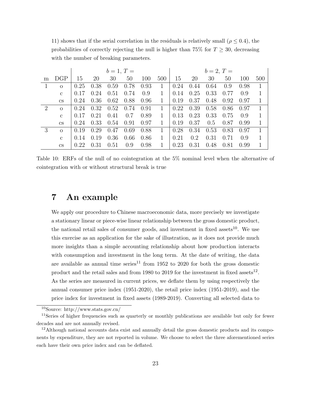11) shows that if the serial correlation in the residuals is relatively small ( $\rho \leq 0.4$ ), the probabilities of correctly rejecting the null is higher than 75% for  $T \geq 30$ , decreasing with the number of breaking parameters.

|                             |                        |      |      | $b = 1, T =$ |      |      |              |      |      | $b = 2, T =$ |      |      |     |
|-----------------------------|------------------------|------|------|--------------|------|------|--------------|------|------|--------------|------|------|-----|
| m                           | DGP                    | 15   | 20   | 30           | 50   | 100  | 500          | 15   | 20   | 30           | 50   | 100  | 500 |
|                             | $\Omega$               | 0.25 | 0.38 | 0.59         | 0.78 | 0.93 |              | 0.24 | 0.44 | 0.64         | 0.9  | 0.98 |     |
|                             | $\mathcal{C}$          | 0.17 | 0.24 | 0.51         | 0.74 | 0.9  | 1            | 0.14 | 0.25 | 0.33         | 0.77 | 0.9  |     |
|                             | $\mathbf{c}\mathbf{s}$ | 0.24 | 0.36 | 0.62         | 0.88 | 0.96 | $\mathbf{1}$ | 0.19 | 0.37 | 0.48         | 0.92 | 0.97 |     |
| $\mathcal{D}_{\mathcal{L}}$ | $\Omega$               | 0.24 | 0.32 | 0.52         | 0.74 | 0.91 |              | 0.22 | 0.39 | 0.58         | 0.86 | 0.97 |     |
|                             | $\mathcal{C}$          | 0.17 | 0.21 | 0.41         | 0.7  | 0.89 | 1            | 0.13 | 0.23 | 0.33         | 0.75 | 0.9  |     |
|                             | $\mathbf{c}\mathbf{s}$ | 0.24 | 0.33 | 0.54         | 0.91 | 0.97 | $\mathbf{1}$ | 0.19 | 0.37 | 0.5          | 0.87 | 0.99 |     |
| 3                           | $\Omega$               | 0.19 | 0.29 | 0.47         | 0.69 | 0.88 |              | 0.28 | 0.34 | 0.53         | 0.83 | 0.97 |     |
|                             | $\mathcal{C}$          | 0.14 | 0.19 | 0.36         | 0.66 | 0.86 |              | 0.21 | 0.2  | 0.31         | 0.71 | 0.9  |     |
|                             | $\mathbf{c}\mathbf{s}$ | 0.22 | 0.31 | 0.51         | 0.9  | 0.98 | 1            | 0.23 | 0.31 | 0.48         | 0.81 | 0.99 |     |

Table 10: ERFs of the null of no cointegration at the 5% nominal level when the alternative of cointegration with or without structural break is true

#### 7 An example

We apply our procedure to Chinese macroeconomic data, more precisely we investigate a stationary linear or piece-wise linear relationship between the gross domestic product, the national retail sales of consumer goods, and investment in fixed assets<sup>10</sup>. We use this exercise as an application for the sake of illustration, as it does not provide much more insights than a simple accounting relationship about how production interacts with consumption and investment in the long term. At the date of writing, the data are available as annual time series<sup>11</sup> from 1952 to 2020 for both the gross domestic product and the retail sales and from 1980 to 2019 for the investment in fixed assets<sup>12</sup>. As the series are measured in current prices, we deflate them by using respectively the annual consumer price index (1951-2020), the retail price index (1951-2019), and the price index for investment in fixed assets (1989-2019). Converting all selected data to

<sup>10</sup>Source: http://www.stats.gov.cn/

<sup>&</sup>lt;sup>11</sup>Series of higher frequencies such as quarterly or monthly publications are available but only for fewer decades and are not annually revised.

 $12$ Although national accounts data exist and annually detail the gross domestic products and its components by expenditure, they are not reported in volume. We choose to select the three aforementioned series each have their own price index and can be deflated.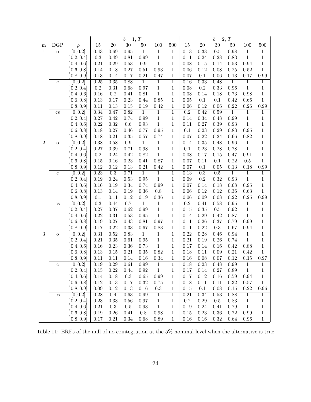|                  |                        |                          |                      |                  | $b = 1, T =$     |                        |                         |                              |                  |                   | $b = 2, T =$ |                  |                           |                            |
|------------------|------------------------|--------------------------|----------------------|------------------|------------------|------------------------|-------------------------|------------------------------|------------------|-------------------|--------------|------------------|---------------------------|----------------------------|
| m                | $\mathbf{DGP}$         | $\rho$                   | 15                   | $20\,$           | $30\,$           | $50\,$                 | 100                     | 500                          | $15\,$           | $20\,$            | $30\,$       | $50\,$           | 100                       | 500                        |
| 1                | $\rm{O}$               | [0, 0.2]                 | 0.43                 | 0.69             | $\rm 0.95$       | $\,1\,$                | $\mathbf{1}$            | $\mathbf 1$                  | 0.13             | $0.33\,$          | $0.5\,$      | $0.98\,$         | $\mathbf{1}$              | 1                          |
|                  |                        | [0.2, 0.4]               | $\rm 0.3$            | 0.49             | $0.81\,$         | 0.99                   | $\,1$                   | $\mathbf 1$                  | 0.11             | 0.24              | 0.28         | $0.83\,$         | $\,1\,$                   | $\mathbf 1$                |
|                  |                        | [0.4, 0.6]               | $0.21\,$             | 0.29             | $0.53\,$         | $\rm 0.9$              | $\,1$                   | $\mathbf 1$                  | 0.08             | $0.15\,$          | 0.14         | $\rm 0.53$       | 0.94                      | $\mathbf{1}$               |
|                  |                        | [0.6, 0.8]               | 0.14                 | 0.18             | $0.27\,$         | $0.51\,$               | $\rm 0.93$              | $\mathbf{1}$                 | 0.06             | $0.12\,$          | 0.08         | $0.25\,$         | 0.52                      | $\mathbf 1$                |
|                  |                        | [0.8, 0.9]               | $0.13\,$             | 0.14             | 0.17             | $\rm 0.21$             | 0.47                    | 1                            | 0.07             | $0.1\,$           | 0.06         | 0.13             | 0.17                      | 0.99                       |
|                  | $\mathbf{c}$           | [0, 0.2]                 | 0.25                 | 0.35             | 0.88             | $\overline{1}$         | $\overline{1}$          | $\overline{1}$               | 0.16             | 0.33              | 0.48         | $\overline{1}$   | $\overline{1}$            | $\overline{1}$             |
|                  |                        | [0.2, 0.4]               | $\rm 0.2$            | $0.31\,$         | 0.68             | 0.97                   | $\,1$                   | $\,1$                        | 0.08             | $\rm 0.2$         | 0.33         | $\,0.96$         | $\,1$                     | $\mathbf{1}$               |
|                  |                        | $\left]0.4,0.6\right]$   | $0.16\,$             | $\rm 0.2$        | 0.41             | $0.81\,$               | $\,1\,$                 | $\mathbf 1$                  | 0.08             | 0.14              | 0.18         | $0.73\,$         | 0.98                      | $\mathbf 1$                |
|                  |                        | [0.6, 0.8]               | $0.13\,$             | 0.17             | 0.23             | 0.44                   | 0.85                    | $\,1$                        | 0.05             | $0.1\,$           | $0.1\,$      | $0.42\,$         | 0.66                      | $\mathbf 1$                |
|                  |                        | [0.8, 0.9]               | 0.11                 | 0.13             | $0.15\,$         | $0.19\,$               | $0.42\,$                | $\,1$                        | 0.06             | 0.12              | 0.06         | 0.22             | 0.26                      | 0.99                       |
|                  | $\mathbf{c}\mathbf{s}$ | [0, 0.2]                 | 0.34                 | 0.47             | 0.82             | $\overline{1}$         | $\overline{1}$          | $\overline{1}$               | $\overline{0.2}$ | 0.42              | 0.59         | $\overline{1}$   | $\overline{1}$            | $\overline{1}$             |
|                  |                        | [0.2, 0.4]               | $0.27\,$             | 0.42             | 0.74             | $0.99\,$               | $\,1\,$                 | $\,1$                        | 0.14             | $0.34\,$          | 0.48         | $0.99\,$         | $\,1$                     | $\,1$                      |
|                  |                        | [0.4, 0.6]               | $0.22\,$             | 0.32             | $0.6\,$          | 0.93                   | $\,1\,$                 | $\mathbf 1$                  | 0.11             | 0.27              | 0.39         | $\rm 0.93$       | $\,1\,$                   | $\mathbf 1$                |
|                  |                        | [0.6, 0.8]               | 0.18                 | $0.27\,$         | 0.46             | 0.77                   | 0.95                    | $\mathbf 1$                  | $0.1\,$          | 0.23              | 0.29         | $0.83\,$         | 0.95                      | $\mathbf 1$                |
|                  |                        | [0.8, 0.9]               | $0.18\,$             | $0.21\,$         | 0.35             | 0.57                   | 0.74                    | $\mathbf{1}$                 | 0.07             | 0.22              | 0.24         | $0.66\,$         | $0.82\,$                  | $\mathbf{1}$               |
| $\overline{2}$   | $\mathbf O$            | [0, 0.2]                 | 0.38                 | 0.58             | $\overline{0.9}$ | $\overline{1}$         | $\overline{1}$          | $\overline{1}$               | 0.14             | 0.35              | 0.48         | 0.96             | $\overline{1}$            | $\overline{1}$             |
|                  |                        | [0.2, 0.4]               | $0.27\,$             | $0.39\,$         | 0.71             | 0.98                   | $\,1\,$                 | $\mathbf 1$                  | $0.1\,$          | $0.23\,$          | 0.28         | 0.78             | $\,1\,$                   | $\mathbf 1$                |
|                  |                        | [0.4, 0.6]               | 0.2                  | 0.24             | $0.42\,$         | 0.82                   | $\,1$                   | $\mathbf 1$                  | 0.08             | 0.17              | $0.15\,$     | 0.47             | $0.91\,$                  | $\,1$                      |
|                  |                        | [0.6, 0.8]               | 0.15                 | $0.16\,$         | 0.23             | 0.41                   | 0.87                    | $\mathbf{1}$                 | 0.07             | 0.11              | $0.1\,$      | $0.22\,$         | $0.5\,$                   | $\mathbf 1$                |
|                  |                        | [0.8, 0.9]               | $0.12\,$             | 0.12             | $0.13\,$         | $\rm 0.21$             | 0.42                    | $\mathbf 1$                  | 0.07             | $0.1\,$           | $0.05\,$     | $0.13\,$         | 0.18                      | 0.99                       |
|                  | $\mathbf{c}$           | [0, 0.2]                 | 0.23                 | $\overline{0.3}$ | 0.71             | $\overline{1}$<br>0.95 | $\overline{1}$<br>$\,1$ | $\overline{1}$               | 0.13             | $\overline{0.3}$  | 0.5          | $\overline{1}$   | $\overline{1}$<br>$\,1\,$ | $\overline{1}$             |
|                  |                        | [0.2, 0.4]               | $0.19\,$             | 0.24<br>0.19     | $0.53\,$<br>0.34 | 0.74                   |                         | $\mathbf 1$                  | 0.09             | $\rm 0.2$<br>0.14 | 0.32<br>0.18 | $\rm 0.93$       |                           | $\,1$                      |
|                  |                        | [0.4, 0.6]<br>[0.6, 0.8] | $0.16\,$<br>$0.13\,$ | 0.14             | $0.19\,$         | 0.36                   | 0.99<br>$0.8\,$         | $\mathbf{1}$<br>$\mathbf{1}$ | 0.07<br>0.06     | 0.12              | 0.12         | 0.68<br>$0.36\,$ | 0.95<br>0.63              | $\mathbf 1$<br>$\mathbf 1$ |
|                  |                        | [0.8, 0.9]               | $0.1\,$              | $0.11\,$         | 0.12             | 0.19                   | 0.36                    | $\,1$                        | 0.06             | 0.09              | 0.08         | $0.22\,$         | 0.25                      | 0.99                       |
|                  | $\mathbf{c}\mathbf{s}$ | [0, 0.2]                 | 0.3                  | 0.44             | 0.7              | $\mathbf{1}$           | $\overline{1}$          | $\mathbf{1}$                 | $\overline{0.2}$ | 0.41              | 0.58         | 0.95             | $\overline{1}$            | $\mathbf 1$                |
|                  |                        | [0.2, 0.4]               | $0.27\,$             | 0.37             | 0.62             | 0.99                   | $\,1\,$                 | $\mathbf{1}$                 | 0.15             | $0.35\,$          | $0.5\,$      | $\rm 0.92$       | $\,1\,$                   | $\mathbf{1}$               |
|                  |                        | [0.4, 0.6]               | $0.22\,$             | $0.31\,$         | 0.53             | 0.95                   | $\,1\,$                 | $\,1$                        | 0.14             | 0.29              | 0.42         | 0.87             | $\,1\,$                   | $\mathbf 1$                |
|                  |                        | [0.6, 0.8]               | $0.19\,$             | 0.27             | 0.43             | 0.81                   | 0.97                    | $\mathbf{1}$                 | 0.11             | 0.26              | 0.37         | $0.79\,$         | 0.99                      | $\mathbf 1$                |
|                  |                        | [0.8, 0.9]               | 0.17                 | $0.22\,$         | 0.33             | 0.67                   | $0.83\,$                | $\,1$                        | 0.11             | 0.22              | $\rm 0.3$    | $0.67\,$         | 0.94                      | $\mathbf{1}$               |
| $\boldsymbol{3}$ | $\overline{O}$         | [0, 0.2]                 | 0.31                 | 0.52             | $0.83\,$         | $\overline{1}$         | $\overline{1}$          | $\mathbf{1}$                 | 0.22             | 0.28              | 0.46         | 0.94             | $\overline{1}$            | $\overline{1}$             |
|                  |                        | [0.2, 0.4]               | 0.21                 | 0.35             | $0.61\,$         | 0.95                   | $\,1\,$                 | $\mathbf 1$                  | 0.21             | $0.19\,$          | 0.26         | 0.74             | $\,1\,$                   | $\,1$                      |
|                  |                        | [0.4, 0.6]               | $0.16\,$             | 0.23             | $0.36\,$         | 0.73                   | $\,1\,$                 | $\,1$                        | 0.17             | 0.14              | $0.16\,$     | $0.42\,$         | 0.88                      | $\,1$                      |
|                  |                        | [0.6, 0.8]               | $0.13\,$             | $0.15\,$         | $\rm 0.21$       | 0.35                   | 0.82                    | $\,1$                        | 0.18             | 0.11              | 0.09         | 0.21             | 0.42                      | $\mathbf 1$                |
|                  |                        | [0.8, 0.9]               | $0.11\,$             | 0.11             | $0.14\,$         | 0.16                   | 0.34                    | $\mathbf 1$                  | 0.16             | 0.08              | 0.07         | 0.12             | 0.15                      | 0.97                       |
|                  | c                      | [0, 0.2]                 | 0.19                 | 0.29             | 0.61             | 0.99                   | $\overline{1}$          | $\overline{1}$               | 0.18             | 0.23              | 0.48         | 0.99             | $\overline{1}$            | $\overline{1}$             |
|                  |                        | [0.2, 0.4]               | $0.15\,$             | 0.22             | 0.44             | 0.92                   | $\mathbf{1}$            | $\mathbf{1}$                 | 0.17             | 0.14              | $0.27\,$     | 0.89             | $1\,$                     | $\mathbf{1}$               |
|                  |                        | [0.4, 0.6]               | $0.14\,$             | 0.18             | $0.3\,$          | $0.65\,$               | 0.99                    | $\mathbf{1}$                 | 0.17             | $0.12\,$          | $0.16\,$     | $0.59\,$         | 0.94                      | $\,1$                      |
|                  |                        | [0.6, 0.8]               | $0.12\,$             | $0.13\,$         | 0.17             | 0.32                   | 0.75                    | $\mathbf{1}$                 | 0.18             | $0.11\,$          | $0.11\,$     | $0.32\,$         | 0.57                      | $\,1$                      |
|                  |                        | [0.8, 0.9]               | 0.09                 | 0.12             | 0.13             | $0.16\,$               | $\rm 0.3$               | $\mathbf{1}$                 | 0.15             | 0.1               | 0.08         | $0.15\,$         | $0.22\,$                  | $0.96\,$                   |
|                  | $\mathbf{c}\mathbf{s}$ | [0, 0.2]                 | 0.28                 | 0.4              | 0.63             | 0.99                   | $\overline{1}$          | $\overline{1}$               | 0.21             | 0.34              | 0.53         | 0.88             | $\overline{1}$            | 1                          |
|                  |                        | [0.2, 0.4]               | $0.23\,$             | 0.33             | 0.56             | 0.97                   | $\,1$                   | $\mathbf 1$                  | $\rm 0.2$        | $0.29\,$          | $0.5\,$      | 0.83             | $\,1$                     | $\mathbf 1$                |
|                  |                        | [0.4, 0.6]               | $0.21\,$             | $0.3\,$          | $0.5\,$          | 0.93                   | $\mathbf{1}$            | $\mathbf 1$                  | 0.19             | $0.24\,$          | 0.41         | 0.79             | $\,1$                     | $\mathbf{1}$               |
|                  |                        | [0.6, 0.8]               | $0.19\,$             | $0.26\,$         | $0.41\,$         | $0.8\,$                | $0.98\,$                | $\mathbf{1}$                 | 0.15             | 0.23              | $0.36\,$     | $0.72\,$         | 0.99                      | $\,1$                      |
|                  |                        | [0.8, 0.9]               | $0.17\,$             | $0.21\,$         | $0.34\,$         | 0.68                   | $0.89\,$                | $\mathbf{1}$                 | $0.16\,$         | $0.16\,$          | $\rm 0.32$   | $0.64\,$         | 0.96                      | $\mathbf{1}$               |

Table 11: ERFs of the null of no cointegration at the 5% nominal level when the alternative is true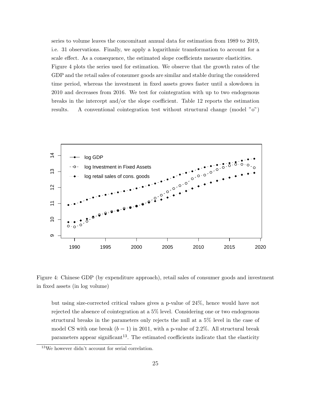series to volume leaves the concomitant annual data for estimation from 1989 to 2019, i.e. 31 observations. Finally, we apply a logarithmic transformation to account for a scale effect. As a consequence, the estimated slope coefficients measure elasticities. Figure 4 plots the series used for estimation. We observe that the growth rates of the GDP and the retail sales of consumer goods are similar and stable during the considered time period, whereas the investment in fixed assets grows faster until a slowdown in 2010 and decreases from 2016. We test for cointegration with up to two endogenous breaks in the intercept and/or the slope coefficient. Table 12 reports the estimation results. A conventional cointegration test without structural change (model "o")



Figure 4: Chinese GDP (by expenditure approach), retail sales of consumer goods and investment in fixed assets (in log volume)

but using size-corrected critical values gives a p-value of 24%, hence would have not rejected the absence of cointegration at a 5% level. Considering one or two endogenous structural breaks in the parameters only rejects the null at a 5% level in the case of model CS with one break  $(b = 1)$  in 2011, with a p-value of 2.2%. All structural break parameters appear significant<sup>13</sup>. The estimated coefficients indicate that the elasticity

<sup>13</sup>We however didn't account for serial correlation.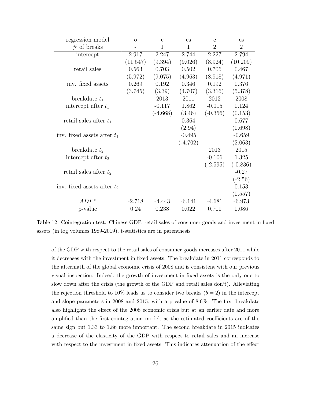| regression model              | $\Omega$ | $\mathbf{c}$ | $\mathbf{c}\mathbf{s}$ | $\mathbf{c}$   | $\mathbf{c}\mathbf{s}$ |
|-------------------------------|----------|--------------|------------------------|----------------|------------------------|
| $#$ of breaks                 |          | $\mathbf{1}$ | 1                      | $\overline{2}$ | $\overline{2}$         |
| intercept                     | 2.917    | 2.247        | 2.744                  | 2.227          | 2.794                  |
|                               | (11.547) | (9.394)      | (9.026)                | (8.924)        | (10.209)               |
| retail sales                  | 0.563    | 0.703        | 0.502                  | 0.706          | 0.467                  |
|                               | (5.972)  | (9.075)      | (4.963)                | (8.918)        | (4.971)                |
| inv. fixed assets             | 0.269    | 0.192        | 0.346                  | 0.192          | 0.376                  |
|                               | (3.745)  | (3.39)       | (4.707)                | (3.316)        | (5.378)                |
| breakdate $t_1$               |          | 2013         | 2011                   | 2012           | 2008                   |
| intercept after $t_1$         |          | $-0.117$     | 1.862                  | $-0.015$       | 0.124                  |
|                               |          | $(-4.668)$   | (3.46)                 | $(-0.356)$     | (0.153)                |
| retail sales after $t_1$      |          |              | 0.364                  |                | 0.677                  |
|                               |          |              | (2.94)                 |                | (0.698)                |
| inv. fixed assets after $t_1$ |          |              | $-0.495$               |                | $-0.659$               |
|                               |          |              | $(-4.702)$             |                | (2.063)                |
| breakdate $t_2$               |          |              |                        | 2013           | 2015                   |
| intercept after $t_2$         |          |              |                        | $-0.106$       | 1.325                  |
|                               |          |              |                        | $(-2.595)$     | $(-0.836)$             |
| retail sales after $t_2$      |          |              |                        |                | $-0.27$                |
|                               |          |              |                        |                | $(-2.56)$              |
| inv. fixed assets after $t_2$ |          |              |                        |                | 0.153                  |
|                               |          |              |                        |                | (0.557)                |
| $ADF^*$                       | $-2.718$ | $-4.443$     | $-6.141$               | $-4.681$       | $-6.973$               |
| p-value                       | 0.24     | 0.238        | 0.022                  | 0.701          | 0.086                  |

Table 12: Cointegration test: Chinese GDP, retail sales of consumer goods and investment in fixed assets (in log volumes 1989-2019), t-statistics are in parenthesis

of the GDP with respect to the retail sales of consumer goods increases after 2011 while it decreases with the investment in fixed assets. The breakdate in 2011 corresponds to the aftermath of the global economic crisis of 2008 and is consistent with our previous visual inspection. Indeed, the growth of investment in fixed assets is the only one to slow down after the crisis (the growth of the GDP and retail sales don't). Alleviating the rejection threshold to 10% leads us to consider two breaks  $(b = 2)$  in the intercept and slope parameters in 2008 and 2015, with a p-value of 8.6%. The first breakdate also highlights the effect of the 2008 economic crisis but at an earlier date and more amplified than the first cointegration model, as the estimated coefficients are of the same sign but 1.33 to 1.86 more important. The second breakdate in 2015 indicates a decrease of the elasticity of the GDP with respect to retail sales and an increase with respect to the investment in fixed assets. This indicates attenuation of the effect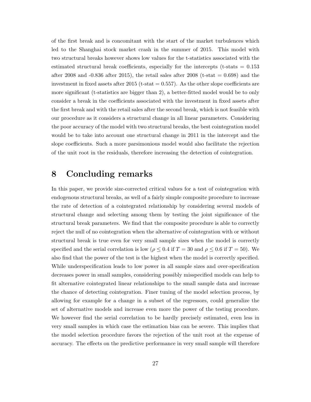of the first break and is concomitant with the start of the market turbulences which led to the Shanghai stock market crash in the summer of 2015. This model with two structural breaks however shows low values for the t-statistics associated with the estimated structural break coefficients, especially for the intercepts (t-stats  $= 0.153$ ) after 2008 and  $-0.836$  after 2015), the retail sales after 2008 (t-stat  $= 0.698$ ) and the investment in fixed assets after 2015 (t-stat  $= 0.557$ ). As the other slope coefficients are more significant (t-statistics are bigger than 2), a better-fitted model would be to only consider a break in the coefficients associated with the investment in fixed assets after the first break and with the retail sales after the second break, which is not feasible with our procedure as it considers a structural change in all linear parameters. Considering the poor accuracy of the model with two structural breaks, the best cointegration model would be to take into account one structural change in 2011 in the intercept and the slope coefficients. Such a more parsimonious model would also facilitate the rejection of the unit root in the residuals, therefore increasing the detection of cointegration.

### 8 Concluding remarks

In this paper, we provide size-corrected critical values for a test of cointegration with endogenous structural breaks, as well of a fairly simple composite procedure to increase the rate of detection of a cointegrated relationship by considering several models of structural change and selecting among them by testing the joint significance of the structural break parameters. We find that the composite procedure is able to correctly reject the null of no cointegration when the alternative of cointegration with or without structural break is true even for very small sample sizes when the model is correctly specified and the serial correlation is low ( $\rho \leq 0.4$  if  $T = 30$  and  $\rho \leq 0.6$  if  $T = 50$ ). We also find that the power of the test is the highest when the model is correctly specified. While underspecification leads to low power in all sample sizes and over-specification decreases power in small samples, considering possibly misspecified models can help to fit alternative cointegrated linear relationships to the small sample data and increase the chance of detecting cointegration. Finer tuning of the model selection process, by allowing for example for a change in a subset of the regressors, could generalize the set of alternative models and increase even more the power of the testing procedure. We however find the serial correlation to be hardly precisely estimated, even less in very small samples in which case the estimation bias can be severe. This implies that the model selection procedure favors the rejection of the unit root at the expense of accuracy. The effects on the predictive performance in very small sample will therefore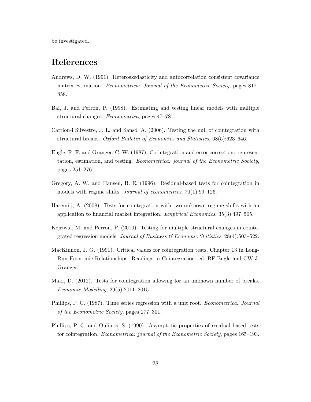be investigated.

### References

- Andrews, D. W. (1991). Heteroskedasticity and autocorrelation consistent covariance matrix estimation. Econometrica: Journal of the Econometric Society, pages 817– 858.
- Bai, J. and Perron, P. (1998). Estimating and testing linear models with multiple structural changes. Econometrica, pages 47–78.
- Carrion-i Silvestre, J. L. and Sansó, A. (2006). Testing the null of cointegration with structural breaks. Oxford Bulletin of Economics and Statistics, 68(5):623–646.
- Engle, R. F. and Granger, C. W. (1987). Co-integration and error correction: representation, estimation, and testing. Econometrica: journal of the Econometric Society, pages 251–276.
- Gregory, A. W. and Hansen, B. E. (1996). Residual-based tests for cointegration in models with regime shifts. Journal of econometrics, 70(1):99–126.
- Hatemi-j, A. (2008). Tests for cointegration with two unknown regime shifts with an application to financial market integration. Empirical Economics, 35(3):497–505.
- Kejriwal, M. and Perron, P. (2010). Testing for multiple structural changes in cointegrated regression models. Journal of Business  $\mathcal C$  Economic Statistics, 28(4):503–522.
- MacKinnon, J. G. (1991). Critical values for cointegration tests, Chapter 13 in Long-Run Economic Relationships: Readings in Cointegration, ed. RF Engle and CW J. Granger.
- Maki, D. (2012). Tests for cointegration allowing for an unknown number of breaks. Economic Modelling, 29(5):2011–2015.
- Phillips, P. C. (1987). Time series regression with a unit root. Econometrica: Journal of the Econometric Society, pages 277–301.
- Phillips, P. C. and Ouliaris, S. (1990). Asymptotic properties of residual based tests for cointegration. Econometrica: journal of the Econometric Society, pages 165–193.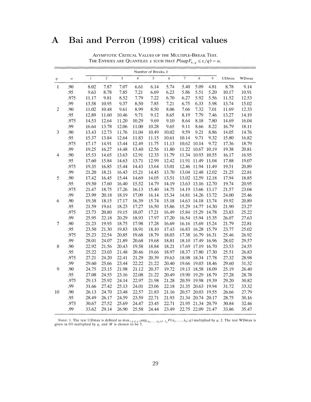### A Bai and Perron (1998) critical values

| Number of Breaks, k |          |              |                |       |       |       |       |       |                   |       |       |       |
|---------------------|----------|--------------|----------------|-------|-------|-------|-------|-------|-------------------|-------|-------|-------|
| q                   | $\alpha$ | $\mathbf{1}$ | $\overline{2}$ | 3     | 4     | 5     | 6     | 7     | 8                 | 9     | UDmax | WDmax |
| $\,1$               | .90      | 8.02         | 7.87           | 7.07  | 6.61  | 6.14  | 5.74  | 5.40  | 5.09              | 4.81  | 8.78  | 9.14  |
|                     | .95      | 9.63         | 8.78           | 7.85  | 7.21  | 6.69  | 6.23  | 5.86  | 5.51              | 5.20  | 10.17 | 10.91 |
|                     | .975     | 11.17        | 9.81           | 8.52  | 7.79  | 7.22  | 6.70  | 6.27  | 5.92              | 5.56  | 11.52 | 12.53 |
|                     | .99      | 13.58        | 10.95          | 9.37  | 8.50  | 7.85  | 7.21  | 6.75  | 6.33              | 5.98  | 13.74 | 15.02 |
| 2                   | .90      | 11.02        | 10.48          | 9.61  | 8.99  | 8.50  | 8.06  | 7.66  | 7.32              | 7.01  | 11.69 | 12.33 |
|                     | .95      | 12.89        | 11.60          | 10.46 | 9.71  | 9.12  | 8.65  | 8.19  | 7.79              | 7.46  | 13.27 | 14.19 |
|                     | .975     | 14.53        | 12.64          | 11.20 | 10.29 | 9.69  | 9.10  | 8.64  | 8.18              | 7.80  | 14.69 | 16.04 |
|                     | .99      | 16.64        | 13.78          | 12.06 | 11.00 | 10.28 | 9.65  | 9.11  | 8.66              | 8.22  | 16.79 | 18.11 |
| 3                   | .90      | 13.43        | 12.73          | 11.76 | 11.04 | 10.49 | 10.02 | 9.59  | 9.21              | 8.86  | 14.05 | 14.76 |
|                     | .95      | 15.37        | 13.84          | 12.64 | 11.83 | 11.15 | 10.61 | 10.14 | 9.71              | 9.32  | 15.80 | 16.82 |
|                     | .975     | 17.17        | 14.91          | 13.44 | 12.49 | 11.75 | 11.13 |       | 10.62 10.14       | 9.72  | 17.36 | 18.79 |
|                     | .99      | 19.25        | 16.27          | 14.48 | 13.40 | 12.56 | 11.80 |       | 11.22 10.67       | 10.19 | 19.38 | 20.81 |
| 4                   | .90      | 15.53        | 14.65          | 13.63 | 12.91 | 12.33 | 11.79 |       | 11.34 10.93       | 10.55 | 16.17 | 16.95 |
|                     | .95      | 17.60        | 15.84          | 14.63 | 13.71 | 12.99 | 12.42 | 11.91 | 11.49 11.04       |       | 17.88 | 19.07 |
|                     | .975     | 19.35        | 16.85          | 15.44 | 14.43 | 13.64 | 13.01 | 12.46 | 11.94 11.49       |       | 19.51 | 20.89 |
|                     | .99      | 21.20        | 18.21          | 16.43 | 15.21 | 14.45 | 13.70 | 13.04 | 12.48 12.02       |       | 21.25 | 22.81 |
| 5                   | .90      | 17.42        | 16.45          | 15.44 | 14.69 | 14.05 | 13.51 |       | 13.02 12.59 12.18 |       | 17.94 | 18.85 |
|                     | .95      | 19.50        | 17.60          | 16.40 | 15.52 | 14.79 | 14.19 |       | 13.63 13.16 12.70 |       | 19.74 | 20.95 |
|                     | .975     | 21.47        | 18.75          | 17.26 | 16.13 | 15.40 | 14.75 |       | 14.19 13.66 13.17 |       | 21.57 | 23.04 |
|                     | .99      | 23.99        | 20.18          | 18.19 | 17.09 | 16.14 | 15.34 | 14.81 | 14.26 13.72       |       | 24.00 | 25.46 |
| 6                   | .90      | 19.38        | 18.15          | 17.17 | 16.39 | 15.74 | 15.18 |       | 14.63 14.18 13.74 |       | 19.92 | 20.89 |
|                     | .95      | 21.59        | 19.61          | 18.23 | 17.27 | 16.50 | 15.86 |       | 15.29 14.77 14.30 |       | 21.90 | 23.27 |
|                     | .975     | 23.73        | 20.80          | 19.15 | 18.07 | 17.21 | 16.49 |       | 15.84 15.29       | 14.78 | 23.83 | 25.22 |
|                     | .99      | 25.95        | 22.18          | 20.29 | 18.93 | 17.97 | 17.20 |       | 16.54 15.94       | 15.35 | 26.07 | 27.63 |
| 7                   | .90      | 21.23        | 19.93          | 18.75 | 17.98 | 17.28 | 16.69 |       | 16.16 15.69 15.24 |       | 21.79 | 22.81 |
|                     | .95      | 23.50        | 21.30          | 19.83 | 18.91 | 18.10 | 17.43 |       | 16.83 16.28 15.79 |       | 23.77 | 25.02 |
|                     | .975     | 25.23        | 22.54          | 20.85 | 19.68 | 18.79 | 18.03 | 17.38 | 16.79             | 16.31 | 25.46 | 26.92 |
|                     | .99      | 28.01        | 24.07          | 21.89 | 20.68 | 19.68 | 18.81 |       | 18.10 17.49       | 16.96 | 28.02 | 29.57 |
| 8                   | .90      | 22.92        | 21.56          | 20.43 | 19.58 | 18.84 | 18.21 |       | 17.69 17.19 16.70 |       | 23.53 | 24.55 |
|                     | .95      | 25.22        | 23.03          | 21.48 | 20.46 | 19.66 | 18.97 |       | 18.37 17.80 17.30 |       | 25.51 | 26.83 |
|                     | .975     | 27.21        | 24.20          | 22.41 | 21.29 | 20.39 | 19.63 | 18.98 | 18.34             | 17.78 | 27.32 | 28.98 |
|                     | .99      | 29.60        | 25.66          | 23.44 | 22.22 | 21.22 | 20.40 |       | 19.66 19.03 18.46 |       | 29.60 | 31.32 |
| 9                   | .90      | 24.75        | 23.15          | 21.98 | 21.12 | 20.37 | 19.72 |       | 19.13 18.58 18.09 |       | 25.19 | 26.40 |
|                     | .95      | 27.08        | 24.55          | 23.16 | 22.08 | 21.22 | 20.49 |       | 19.90 19.29 18.79 |       | 27.28 | 28.78 |
|                     | .975     | 29.13        | 25.92          | 24.14 | 22.97 | 21.98 | 21.28 |       | 20.59 19.98       | 19.39 | 29.20 | 30.82 |
|                     | .99      | 31.66        | 27.42          | 25.13 | 24.01 | 23.06 | 22.18 |       | 21.35 20.63 19.94 |       | 31.72 | 33.32 |
| 10                  | .90      | 26.13        | 24.70          | 23.48 | 22.57 | 21.83 | 21.16 | 20.57 | 20.03 19.55       |       | 26.66 | 27.79 |
|                     | .95      | 28.49        | 26.17          | 24.59 | 23.59 | 22.71 | 21.93 | 21.34 | 20.74             | 20.17 | 28.75 | 30.16 |
|                     | .975     | 30.67        | 27.52          | 25.69 | 24.47 | 23.45 | 22.71 | 21.95 | 21.34             | 20.79 | 30.84 | 32.46 |
|                     | .99      | 33.62        | 29.14          | 26.90 | 25.58 | 24.44 | 23.49 |       | 22.75 22.09 21.47 |       | 33.86 | 35.47 |

ASYMPTOTIC CRITICAL VALUES OF THE MULTIPLE-BREAK TEST. THE ENTRIES ARE QUANTILES *x* SUCH THAT  $P(\sup F_{k,q} \le x/q) = \alpha$ .

*Notes*: 1. The test UDmax is defined as  $\max_{1 \le k \le 5} \sup_{\lambda \in A_k} \sum_{\ell} \sum_{i=1}^k A_i P(\lambda_1, ..., \lambda_k) \in A_k$ ,  $P(\lambda_1, ..., \lambda_k; q)$  multiplied by q. 2. The test WDmax is given in (9) multiplied by q, and M is chosen to be 5.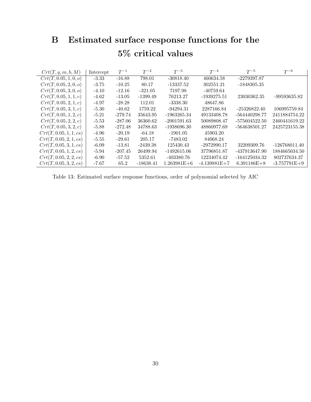# B Estimated surface response functions for the 5% critical values

| Crt(T, q, m, b, M)     | Intercept | $T^{-1}$  | $T^{-2}$    | $T^{-3}$        | $T^{-4}$       | $T^{-5}$        | $T^{-6}$        |
|------------------------|-----------|-----------|-------------|-----------------|----------------|-----------------|-----------------|
| Crt(T, 0.05, 1, 0, o)  | $-3.33$   | $-16.88$  | 798.01      | $-30818.40$     | 460634.58      | -2279397.87     |                 |
| Crt(T, 0.05, 2, 0, o)  | $-3.75$   | $-10.25$  | 80.17       | $-13337.52$     | 302551.21      | $-1848305.35$   |                 |
| Crt(T, 0.05, 3, 0, o)  | $-4.10$   | $-12.16$  | $-321.05$   | 7197.98         | $-40759.64$    |                 |                 |
| Crt(T, 0.05, 1, 1, c)  | $-4.62$   | $-13.05$  | $-1399.49$  | 76213.27        | $-1939275.51$  | 23030362.35     | -99593635.82    |
| Crt(T, 0.05, 2, 1, c)  | $-4.97$   | $-28.28$  | 112.01      | $-3338.30$      | 48647.86       |                 |                 |
| Crt(T, 0.05, 3, 1, c)  | $-5.30$   | $-40.62$  | 1759.22     | $-94294.31$     | 2287166.84     | $-25326822.40$  | 106995759.84    |
| Crt(T, 0.05, 1, 2, c)  | $-5.21$   | $-279.74$ | 35643.95    | $-1963265.34$   | 49133408.78    | -564440298.77   | 2411884754.22   |
| Crt(T, 0.05, 2, 2, c)  | $-5.53$   | $-287.06$ | 36360.62    | $-2001591.63$   | 50089808.47    | -575604522.50   | 2460441619.22   |
| Crt(T, 0.05, 3, 2, c)  | $-5.88$   | $-272.48$ | 34788.63    | $-1938696.30$   | 48860977.69    | -564638501.27   | 2425723155.38   |
| Crt(T, 0.05, 1, 1, cs) | $-4.96$   | $-20.19$  | $-64.18$    | $-1901.05$      | 45903.20       |                 |                 |
| Crt(T, 0.05, 2, 1, cs) | $-5.55$   | $-29.61$  | 205.17      | $-7483.02$      | 84068.24       |                 |                 |
| Crt(T, 0.05, 3, 1, cs) | $-6.09$   | $-13.81$  | $-2439.38$  | 125430.43       | -2972990.17    | 32209309.76     | $-126768011.40$ |
| Crt(T, 0.05, 1, 2, cs) | $-5.94$   | $-207.45$ | 26499.94    | $-1492615.06$   | 37796851.87    | -437913647.90   | 1884665034.50   |
| Crt(T, 0.05, 2, 2, cs) | $-6.90$   | -57.52    | 5352.61     | $-403380.76$    | 12234074.42    | $-164125034.32$ | 802737634.37    |
| Crt(T, 0.05, 3, 2, cs) | $-7.67$   | 65.2      | $-18638.41$ | $1.263981E + 6$ | $-4.139881E+7$ | $6.391186E + 8$ | $-3.757791E+9$  |

Table 13: Estimated surface response functions, order of polynomial selected by AIC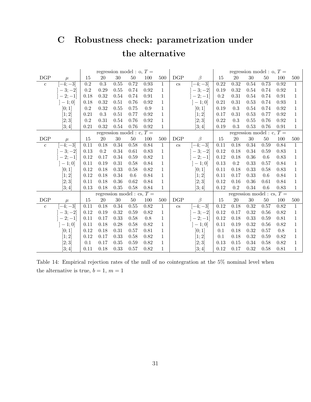# C Robustness check: parametrization under the alternative

|              |           |           |                              |          | regression model : $o, T =$               |         |                |              |           | regression model : $o, T =$  |           |                             |        |            |              |
|--------------|-----------|-----------|------------------------------|----------|-------------------------------------------|---------|----------------|--------------|-----------|------------------------------|-----------|-----------------------------|--------|------------|--------------|
| DGP          | $\mu$     | 15        | $20\,$                       | $30\,$   | $50\,$                                    | 100     | 500            | DGP          | β         | 15                           | $20\,$    | 30                          | $50\,$ | 100        | 500          |
| $\mathbf c$  | $[-4;-3]$ | 0.2       | 0.3                          | $0.55\,$ | 0.72                                      | 0.93    | $\mathbf{1}$   | $\rm{cs}$    | $-4;-3]$  | 0.22                         | 0.32      | 0.54                        | 0.73   | $\rm 0.92$ | 1            |
|              | $-3;-2]$  | $\rm 0.2$ | 0.29                         | $0.55\,$ | 0.74                                      | 0.92    | $\mathbf{1}$   |              | $[-3;-2]$ | 0.19                         | 0.32      | 0.54                        | 0.74   | 0.92       | $\mathbf{1}$ |
|              | $-2;-1]$  | 0.18      | 0.32                         | 0.54     | 0.74                                      | 0.91    | $\mathbf{1}$   |              | $-2;-1]$  | $0.2\,$                      | 0.31      | 0.54                        | 0.74   | 0.91       | 1            |
|              | $]-1;0]$  | 0.18      | 0.32                         | 0.51     | 0.76                                      | 0.92    | $\mathbf{1}$   |              | $[-1;0]$  | 0.21                         | 0.31      | 0.53                        | 0.74   | $\,0.93$   | $\mathbf{1}$ |
|              | ]0;1]     | 0.2       | 0.32                         | $0.55\,$ | 0.75                                      | 0.9     | $\mathbf{1}$   |              | [0;1]     | 0.19                         | $\rm 0.3$ | 0.54                        | 0.74   | 0.92       | $\mathbf{1}$ |
|              | [1; 2]    | 0.21      | 0.3                          | 0.51     | 0.77                                      | 0.92    | $\mathbf{1}$   |              | [1; 2]    | 0.17                         | 0.31      | 0.53                        | 0.77   | 0.92       | 1            |
|              | [2;3]     | $\rm 0.2$ | 0.31                         | 0.54     | 0.76                                      | 0.92    | $\mathbf{1}$   |              | [2;3]     | 0.22                         | $\rm 0.3$ | 0.55                        | 0.76   | $\rm 0.92$ | 1            |
|              | ]3;4]     | 0.21      | 0.32                         | 0.54     | 0.76                                      | 0.92    | $\mathbf{1}$   |              | ]3;4]     | 0.19                         | 0.3       | 0.53                        | 0.76   | 0.91       | 1            |
|              |           |           |                              |          | regression model : $\overline{c}$ , $T =$ |         |                |              |           |                              |           | regression model : c, $T =$ |        |            |              |
| DGP          | $\mu$     | 15        | $20\,$                       | 30       | 50                                        | 100     | 500            | DGP          | $\beta$   | 15                           | $20\,$    | 30                          | 50     | 100        | 500          |
| $\mathbf c$  | $-4; -3]$ | 0.11      | 0.18                         | 0.34     | 0.58                                      | 0.84    | $\mathbf{1}$   | $\rm{cs}$    | $-4; -3]$ | 0.11                         | 0.18      | 0.34                        | 0.59   | 0.84       | $\mathbf{1}$ |
|              | $-3;-2]$  | 0.13      | $0.2\,$                      | 0.34     | 0.61                                      | 0.83    | $\mathbf{1}$   |              | $-3;-2]$  | 0.12                         | 0.18      | 0.34                        | 0.59   | 0.83       | $\mathbf{1}$ |
|              | $-2;-1]$  | 0.12      | 0.17                         | 0.34     | 0.59                                      | 0.82    | $\,1$          |              | $-2;-1]$  | 0.12                         | 0.18      | $0.36\,$                    | 0.6    | 0.83       | $\mathbf{1}$ |
|              | $]-1;0]$  | 0.11      | 0.19                         | 0.31     | 0.58                                      | 0.84    | 1              |              | $[-1;0]$  | 0.13                         | 0.2       | 0.33                        | 0.57   | 0.84       | 1            |
|              | ]0;1]     | 0.12      | 0.18                         | 0.33     | 0.58                                      | 0.82    | $\mathbf{1}$   |              | ]0;1]     | 0.11                         | 0.18      | 0.33                        | 0.58   | 0.83       | 1            |
|              | [1; 2]    | 0.12      | 0.18                         | 0.34     | 0.6                                       | 0.84    | $\mathbf{1}$   |              | ]1;2]     | 0.11                         | 0.17      | 0.33                        | 0.6    | 0.84       | 1            |
|              | [2;3]     | 0.11      | 0.18                         | 0.36     | 0.62                                      | 0.84    | $\mathbf{1}$   |              | [2;3]     | $0.12\,$                     | 0.16      | $0.36\,$                    | 0.61   | 0.84       | $\mathbf{1}$ |
|              | ]3;4]     | 0.13      | 0.18                         | 0.35     | 0.58                                      | 0.84    | $\mathbf{1}$   |              | [3; 4]    | 0.12                         | 0.2       | 0.34                        | 0.6    | 0.83       | $\mathbf{1}$ |
|              |           |           | regression model : cs, $T =$ |          |                                           |         |                |              |           | regression model : cs, $T =$ |           |                             |        |            |              |
| $_{\rm DGP}$ | $\mu$     | $15\,$    | $20\,$                       | $30\,$   | $50\,$                                    | 100     | 500            | $_{\rm DGP}$ | $\beta$   | 15                           | $20\,$    | $30\,$                      | $50\,$ | 100        | 500          |
| $\mathbf c$  | $-4;-3]$  | 0.11      | 0.18                         | 0.34     | 0.55                                      | 0.82    | $\overline{1}$ | $\rm{cs}$    | $-4;-3]$  | 0.12                         | 0.18      | 0.32                        | 0.57   | 0.82       | $\mathbf{1}$ |
|              | $-3;-2]$  | 0.12      | 0.19                         | 0.32     | 0.59                                      | 0.82    | $\mathbf{1}$   |              | $-3;-2]$  | 0.12                         | 0.17      | 0.32                        | 0.56   | 0.82       | $\mathbf{1}$ |
|              | $-2;-1]$  | 0.11      | 0.17                         | 0.33     | 0.58                                      | $0.8\,$ | $\mathbf{1}$   |              | $-2;-1]$  | 0.12                         | 0.18      | 0.33                        | 0.59   | 0.81       | $\mathbf{1}$ |
|              | $-1;0]$   | 0.11      | 0.18                         | 0.28     | 0.58                                      | 0.82    | $\mathbf{1}$   |              | $[-1;0]$  | 0.11                         | 0.19      | 0.32                        | 0.56   | 0.82       | 1            |
|              | ]0;1]     | 0.12      | 0.18                         | $0.31\,$ | 0.57                                      | 0.81    | $\mathbf{1}$   |              | ]0;1]     | 0.1                          | 0.18      | 0.32                        | 0.57   | $0.8\,$    | 1            |
|              | ]1;2]     | 0.12      | 0.17                         | 0.33     | 0.58                                      | 0.82    | $\mathbf{1}$   |              | ]1;2]     | 0.1                          | 0.18      | 0.32                        | 0.59   | 0.82       | 1            |
|              | ]2;3]     | 0.1       | 0.17                         | 0.35     | 0.59                                      | 0.82    | $\mathbf{1}$   |              | [2;3]     | $0.13\,$                     | 0.15      | 0.34                        | 0.58   | $0.82\,$   | 1            |
|              | [3;4]     | 0.11      | 0.18                         | 0.33     | 0.57                                      | 0.82    | $\mathbf{1}$   |              | [3; 4]    | 0.12                         | 0.17      | 0.32                        | 0.58   | 0.81       | 1            |

Table 14: Empirical rejection rates of the null of no cointegration at the 5% nominal level when the alternative is true,  $b = 1, m = 1$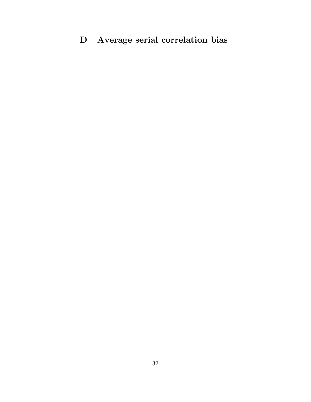# D Average serial correlation bias